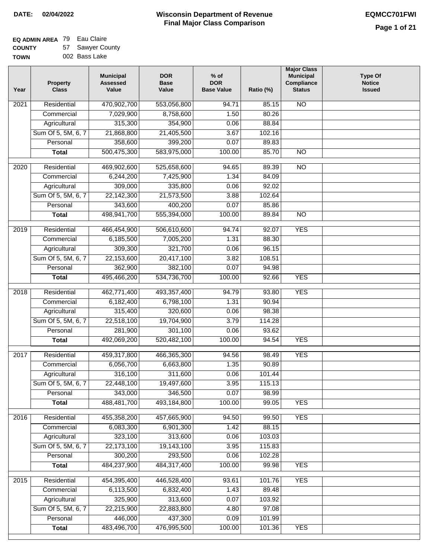$\blacksquare$ 

#### **Wisconsin Department of Revenue Final Major Class Comparison DATE: 02/04/2022 EQMCC701FWI**

# **EQ ADMIN AREA** 79 Eau Claire

**COUNTY TOWN** 57 Sawyer County 002 Bass Lake

| Year | Property<br><b>Class</b>   | <b>Municipal</b><br><b>Assessed</b><br>Value | <b>DOR</b><br><b>Base</b><br>Value | $%$ of<br><b>DOR</b><br><b>Base Value</b> | Ratio (%)      | <b>Major Class</b><br><b>Municipal</b><br>Compliance<br><b>Status</b> | <b>Type Of</b><br><b>Notice</b><br><b>Issued</b> |
|------|----------------------------|----------------------------------------------|------------------------------------|-------------------------------------------|----------------|-----------------------------------------------------------------------|--------------------------------------------------|
| 2021 | Residential                | 470,902,700                                  | 553,056,800                        | 94.71                                     | 85.15          | <b>NO</b>                                                             |                                                  |
|      | Commercial                 | 7,029,900                                    | 8,758,600                          | 1.50                                      | 80.26          |                                                                       |                                                  |
|      | Agricultural               | 315,300                                      | 354,900                            | 0.06                                      | 88.84          |                                                                       |                                                  |
|      | Sum Of 5, 5M, 6, 7         | 21,868,800                                   | 21,405,500                         | 3.67                                      | 102.16         |                                                                       |                                                  |
|      | Personal                   | 358,600                                      | 399,200                            | 0.07                                      | 89.83          |                                                                       |                                                  |
|      | <b>Total</b>               | 500,475,300                                  | 583,975,000                        | 100.00                                    | 85.70          | $\overline{NO}$                                                       |                                                  |
| 2020 | Residential                | 469,902,600                                  | 525,658,600                        | 94.65                                     | 89.39          | $\overline{10}$                                                       |                                                  |
|      | Commercial                 | 6,244,200                                    | 7,425,900                          | 1.34                                      | 84.09          |                                                                       |                                                  |
|      | Agricultural               | 309,000                                      | 335,800                            | 0.06                                      | 92.02          |                                                                       |                                                  |
|      | Sum Of 5, 5M, 6, 7         | 22,142,300                                   | 21,573,500                         | 3.88                                      | 102.64         |                                                                       |                                                  |
|      | Personal                   | 343,600                                      | 400,200                            | 0.07                                      | 85.86          |                                                                       |                                                  |
|      | <b>Total</b>               | 498,941,700                                  | 555,394,000                        | 100.00                                    | 89.84          | $\overline{NO}$                                                       |                                                  |
| 2019 | Residential                | 466,454,900                                  | 506,610,600                        | 94.74                                     | 92.07          | <b>YES</b>                                                            |                                                  |
|      | Commercial                 | 6,185,500                                    | 7,005,200                          | 1.31                                      | 88.30          |                                                                       |                                                  |
|      | Agricultural               | 309,300                                      | 321,700                            | 0.06                                      | 96.15          |                                                                       |                                                  |
|      | Sum Of 5, 5M, 6, 7         | 22,153,600                                   | 20,417,100                         | 3.82                                      | 108.51         |                                                                       |                                                  |
|      | Personal                   | 362,900                                      | 382,100                            | 0.07                                      | 94.98          |                                                                       |                                                  |
|      | <b>Total</b>               | 495,466,200                                  | 534,736,700                        | 100.00                                    | 92.66          | <b>YES</b>                                                            |                                                  |
|      |                            |                                              |                                    |                                           |                |                                                                       |                                                  |
| 2018 | Residential                | 462,771,400                                  | 493,357,400                        | 94.79                                     | 93.80          | <b>YES</b>                                                            |                                                  |
|      | Commercial<br>Agricultural | 6,182,400<br>315,400                         | 6,798,100<br>320,600               | 1.31<br>0.06                              | 90.94<br>98.38 |                                                                       |                                                  |
|      | Sum Of 5, 5M, 6, 7         | 22,518,100                                   | 19,704,900                         | 3.79                                      | 114.28         |                                                                       |                                                  |
|      | Personal                   | 281,900                                      | 301,100                            | 0.06                                      | 93.62          |                                                                       |                                                  |
|      | <b>Total</b>               | 492,069,200                                  | 520,482,100                        | 100.00                                    | 94.54          | <b>YES</b>                                                            |                                                  |
|      |                            |                                              |                                    |                                           |                |                                                                       |                                                  |
| 2017 | Residential                | 459,317,800                                  | 466,365,300                        | 94.56                                     | 98.49          | <b>YES</b>                                                            |                                                  |
|      | Commercial                 | 6,056,700                                    | 6,663,800                          | 1.35                                      | 90.89          |                                                                       |                                                  |
|      | Agricultural               | 316,100                                      | 311,600                            | 0.06                                      | 101.44         |                                                                       |                                                  |
|      | Sum Of 5, 5M, 6, 7         | 22,448,100                                   | 19,497,600                         | 3.95                                      | 115.13         |                                                                       |                                                  |
|      | Personal                   | 343,000                                      | 346,500                            | 0.07                                      | 98.99          |                                                                       |                                                  |
|      | <b>Total</b>               | 488,481,700                                  | 493,184,800                        | 100.00                                    | 99.05          | <b>YES</b>                                                            |                                                  |
| 2016 | Residential                | 455,358,200                                  | 457,665,900                        | 94.50                                     | 99.50          | <b>YES</b>                                                            |                                                  |
|      | Commercial                 | 6,083,300                                    | 6,901,300                          | 1.42                                      | 88.15          |                                                                       |                                                  |
|      | Agricultural               | 323,100                                      | 313,600                            | 0.06                                      | 103.03         |                                                                       |                                                  |
|      | Sum Of 5, 5M, 6, 7         | 22,173,100                                   | 19,143,100                         | 3.95                                      | 115.83         |                                                                       |                                                  |
|      | Personal                   | 300,200                                      | 293,500                            | 0.06                                      | 102.28         |                                                                       |                                                  |
|      | <b>Total</b>               | 484,237,900                                  | 484,317,400                        | 100.00                                    | 99.98          | <b>YES</b>                                                            |                                                  |
| 2015 | Residential                | 454,395,400                                  | 446,528,400                        | 93.61                                     | 101.76         | <b>YES</b>                                                            |                                                  |
|      | Commercial                 | 6,113,500                                    | 6,832,400                          | 1.43                                      | 89.48          |                                                                       |                                                  |
|      | Agricultural               | 325,900                                      | 313,600                            | 0.07                                      | 103.92         |                                                                       |                                                  |
|      | Sum Of 5, 5M, 6, 7         | 22,215,900                                   | 22,883,800                         | 4.80                                      | 97.08          |                                                                       |                                                  |
|      | Personal                   | 446,000                                      | 437,300                            | 0.09                                      | 101.99         |                                                                       |                                                  |
|      | <b>Total</b>               | 483,496,700                                  | 476,995,500                        | 100.00                                    | 101.36         | <b>YES</b>                                                            |                                                  |
|      |                            |                                              |                                    |                                           |                |                                                                       |                                                  |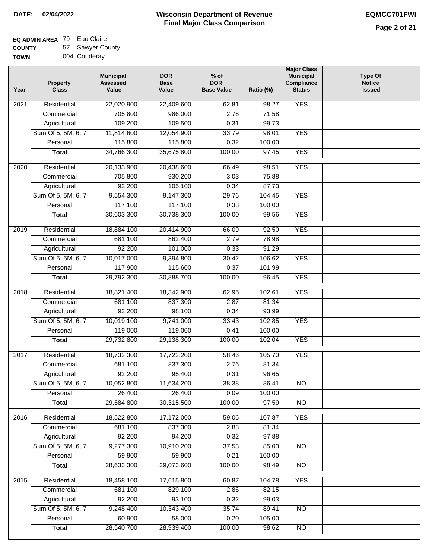### **EQ ADMIN AREA** 79 Eau Claire

**COUNTY TOWN** 57 Sawyer County

|  | 004 Couderay |
|--|--------------|
|  |              |

| Year | <b>Property</b><br><b>Class</b> | <b>Municipal</b><br><b>Assessed</b><br>Value | <b>DOR</b><br><b>Base</b><br>Value | $%$ of<br><b>DOR</b><br><b>Base Value</b> | Ratio (%) | <b>Major Class</b><br><b>Municipal</b><br>Compliance<br><b>Status</b> | <b>Type Of</b><br><b>Notice</b><br><b>Issued</b> |
|------|---------------------------------|----------------------------------------------|------------------------------------|-------------------------------------------|-----------|-----------------------------------------------------------------------|--------------------------------------------------|
| 2021 | Residential                     | 22,020,900                                   | 22,409,600                         | 62.81                                     | 98.27     | <b>YES</b>                                                            |                                                  |
|      | Commercial                      | 705,800                                      | 986,000                            | 2.76                                      | 71.58     |                                                                       |                                                  |
|      | Agricultural                    | 109,200                                      | 109,500                            | 0.31                                      | 99.73     |                                                                       |                                                  |
|      | Sum Of 5, 5M, 6, 7              | 11,814,600                                   | 12,054,900                         | 33.79                                     | 98.01     | <b>YES</b>                                                            |                                                  |
|      | Personal                        | 115,800                                      | 115,800                            | 0.32                                      | 100.00    |                                                                       |                                                  |
|      | <b>Total</b>                    | 34,766,300                                   | 35,675,800                         | 100.00                                    | 97.45     | <b>YES</b>                                                            |                                                  |
| 2020 | Residential                     | 20,133,900                                   | 20,438,600                         | 66.49                                     | 98.51     | <b>YES</b>                                                            |                                                  |
|      | Commercial                      | 705,800                                      | 930,200                            | 3.03                                      | 75.88     |                                                                       |                                                  |
|      | Agricultural                    | 92,200                                       | 105,100                            | 0.34                                      | 87.73     |                                                                       |                                                  |
|      | Sum Of 5, 5M, 6, 7              | 9,554,300                                    | 9,147,300                          | 29.76                                     | 104.45    | <b>YES</b>                                                            |                                                  |
|      | Personal                        | 117,100                                      | 117,100                            | 0.38                                      | 100.00    |                                                                       |                                                  |
|      | <b>Total</b>                    | 30,603,300                                   | 30,738,300                         | 100.00                                    | 99.56     | <b>YES</b>                                                            |                                                  |
| 2019 | Residential                     | 18,884,100                                   | 20,414,900                         | 66.09                                     | 92.50     | <b>YES</b>                                                            |                                                  |
|      | Commercial                      | 681,100                                      | 862,400                            | 2.79                                      | 78.98     |                                                                       |                                                  |
|      | Agricultural                    | 92,200                                       | 101,000                            | 0.33                                      | 91.29     |                                                                       |                                                  |
|      | Sum Of 5, 5M, 6, 7              | 10,017,000                                   | 9,394,800                          | 30.42                                     | 106.62    | <b>YES</b>                                                            |                                                  |
|      | Personal                        | 117,900                                      | 115,600                            | 0.37                                      | 101.99    |                                                                       |                                                  |
|      | <b>Total</b>                    | 29,792,300                                   | 30,888,700                         | 100.00                                    | 96.45     | <b>YES</b>                                                            |                                                  |
| 2018 | Residential                     | 18,821,400                                   | 18,342,900                         | 62.95                                     | 102.61    | <b>YES</b>                                                            |                                                  |
|      | Commercial                      | 681,100                                      | 837,300                            | 2.87                                      | 81.34     |                                                                       |                                                  |
|      | Agricultural                    | 92,200                                       | 98,100                             | 0.34                                      | 93.99     |                                                                       |                                                  |
|      | Sum Of 5, 5M, 6, 7              | 10,019,100                                   | 9,741,000                          | 33.43                                     | 102.85    | <b>YES</b>                                                            |                                                  |
|      | Personal                        | 119,000                                      | 119,000                            | 0.41                                      | 100.00    |                                                                       |                                                  |
|      | <b>Total</b>                    | 29,732,800                                   | 29,138,300                         | 100.00                                    | 102.04    | <b>YES</b>                                                            |                                                  |
| 2017 | Residential                     | 18,732,300                                   | 17,722,200                         | 58.46                                     | 105.70    | <b>YES</b>                                                            |                                                  |
|      | Commercial                      | 681,100                                      | 837,300                            | 2.76                                      | 81.34     |                                                                       |                                                  |
|      | Agricultural                    | 92,200                                       | 95,400                             | 0.31                                      | 96.65     |                                                                       |                                                  |
|      | Sum Of 5, 5M, 6, 7              | 10,052,800                                   | 11,634,200                         | 38.38                                     | 86.41     | <b>NO</b>                                                             |                                                  |
|      | Personal                        | 26,400                                       | 26,400                             | 0.09                                      | 100.00    |                                                                       |                                                  |
|      | <b>Total</b>                    | 29,584,800                                   | 30,315,500                         | 100.00                                    | 97.59     | <b>NO</b>                                                             |                                                  |
| 2016 | Residential                     | 18,522,800                                   | 17,172,000                         | 59.06                                     | 107.87    | <b>YES</b>                                                            |                                                  |
|      | Commercial                      | 681,100                                      | 837,300                            | 2.88                                      | 81.34     |                                                                       |                                                  |
|      | Agricultural                    | 92,200                                       | 94,200                             | 0.32                                      | 97.88     |                                                                       |                                                  |
|      | Sum Of 5, 5M, 6, 7              | 9,277,300                                    | 10,910,200                         | 37.53                                     | 85.03     | $\overline{NO}$                                                       |                                                  |
|      | Personal                        | 59,900                                       | 59,900                             | 0.21                                      | 100.00    |                                                                       |                                                  |
|      | <b>Total</b>                    | 28,633,300                                   | 29,073,600                         | 100.00                                    | 98.49     | N <sub>O</sub>                                                        |                                                  |
| 2015 | Residential                     | 18,458,100                                   | 17,615,800                         | 60.87                                     | 104.78    | <b>YES</b>                                                            |                                                  |
|      | Commercial                      | 681,100                                      | 829,100                            | 2.86                                      | 82.15     |                                                                       |                                                  |
|      | Agricultural                    | 92,200                                       | 93,100                             | 0.32                                      | 99.03     |                                                                       |                                                  |
|      | Sum Of 5, 5M, 6, 7              | 9,248,400                                    | 10,343,400                         | 35.74                                     | 89.41     | <b>NO</b>                                                             |                                                  |
|      | Personal                        | 60,900                                       | 58,000                             | 0.20                                      | 105.00    |                                                                       |                                                  |
|      | <b>Total</b>                    | 28,540,700                                   | 28,939,400                         | 100.00                                    | 98.62     | N <sub>O</sub>                                                        |                                                  |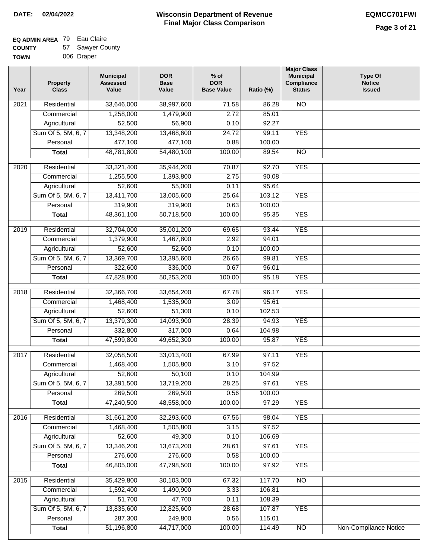### **EQ ADMIN AREA** 79 Eau Claire  $57<sub>5</sub>$

| <b>COUNTY</b> | 57 Sawyer County |
|---------------|------------------|
| <b>TOWN</b>   | 006 Draper       |

| Year              | <b>Property</b><br><b>Class</b> | <b>Municipal</b><br><b>Assessed</b><br>Value | <b>DOR</b><br><b>Base</b><br>Value | $%$ of<br><b>DOR</b><br><b>Base Value</b> | Ratio (%) | <b>Major Class</b><br><b>Municipal</b><br>Compliance<br><b>Status</b> | <b>Type Of</b><br><b>Notice</b><br><b>Issued</b> |
|-------------------|---------------------------------|----------------------------------------------|------------------------------------|-------------------------------------------|-----------|-----------------------------------------------------------------------|--------------------------------------------------|
| 2021              | Residential                     | 33,646,000                                   | 38,997,600                         | 71.58                                     | 86.28     | <b>NO</b>                                                             |                                                  |
|                   | Commercial                      | 1,258,000                                    | 1,479,900                          | 2.72                                      | 85.01     |                                                                       |                                                  |
|                   | Agricultural                    | 52,500                                       | 56,900                             | 0.10                                      | 92.27     |                                                                       |                                                  |
|                   | Sum Of 5, 5M, 6, 7              | 13,348,200                                   | 13,468,600                         | 24.72                                     | 99.11     | <b>YES</b>                                                            |                                                  |
|                   | Personal                        | 477,100                                      | 477,100                            | 0.88                                      | 100.00    |                                                                       |                                                  |
|                   | <b>Total</b>                    | 48,781,800                                   | 54,480,100                         | 100.00                                    | 89.54     | $\overline{NO}$                                                       |                                                  |
| $\overline{20}20$ | Residential                     | 33,321,400                                   | 35,944,200                         | 70.87                                     | 92.70     | <b>YES</b>                                                            |                                                  |
|                   | Commercial                      | 1,255,500                                    | 1,393,800                          | 2.75                                      | 90.08     |                                                                       |                                                  |
|                   | Agricultural                    | 52,600                                       | 55,000                             | 0.11                                      | 95.64     |                                                                       |                                                  |
|                   | Sum Of 5, 5M, 6, 7              | 13,411,700                                   | 13,005,600                         | 25.64                                     | 103.12    | <b>YES</b>                                                            |                                                  |
|                   | Personal                        | 319,900                                      | 319,900                            | 0.63                                      | 100.00    |                                                                       |                                                  |
|                   | <b>Total</b>                    | 48,361,100                                   | 50,718,500                         | 100.00                                    | 95.35     | <b>YES</b>                                                            |                                                  |
|                   |                                 |                                              |                                    |                                           |           |                                                                       |                                                  |
| $\frac{1}{2019}$  | Residential                     | 32,704,000                                   | 35,001,200                         | 69.65                                     | 93.44     | <b>YES</b>                                                            |                                                  |
|                   | Commercial                      | 1,379,900                                    | 1,467,800                          | 2.92                                      | 94.01     |                                                                       |                                                  |
|                   | Agricultural                    | 52,600                                       | 52,600                             | 0.10                                      | 100.00    |                                                                       |                                                  |
|                   | Sum Of 5, 5M, 6, 7              | 13,369,700                                   | 13,395,600                         | 26.66                                     | 99.81     | <b>YES</b>                                                            |                                                  |
|                   | Personal                        | 322,600                                      | 336,000                            | 0.67                                      | 96.01     |                                                                       |                                                  |
|                   | <b>Total</b>                    | 47,828,800                                   | 50,253,200                         | 100.00                                    | 95.18     | <b>YES</b>                                                            |                                                  |
| 2018              | Residential                     | 32,366,700                                   | 33,654,200                         | 67.78                                     | 96.17     | <b>YES</b>                                                            |                                                  |
|                   | Commercial                      | 1,468,400                                    | 1,535,900                          | 3.09                                      | 95.61     |                                                                       |                                                  |
|                   | Agricultural                    | 52,600                                       | 51,300                             | 0.10                                      | 102.53    |                                                                       |                                                  |
|                   | Sum Of 5, 5M, 6, 7              | 13,379,300                                   | 14,093,900                         | 28.39                                     | 94.93     | <b>YES</b>                                                            |                                                  |
|                   | Personal                        | 332,800                                      | 317,000                            | 0.64                                      | 104.98    |                                                                       |                                                  |
|                   | <b>Total</b>                    | 47,599,800                                   | 49,652,300                         | 100.00                                    | 95.87     | <b>YES</b>                                                            |                                                  |
| 2017              | Residential                     | 32,058,500                                   | 33,013,400                         | 67.99                                     | 97.11     | <b>YES</b>                                                            |                                                  |
|                   | Commercial                      | 1,468,400                                    | 1,505,800                          | 3.10                                      | 97.52     |                                                                       |                                                  |
|                   | Agricultural                    | 52,600                                       | 50,100                             | 0.10                                      | 104.99    |                                                                       |                                                  |
|                   | Sum Of 5, 5M, 6, 7              | 13,391,500                                   | 13,719,200                         | 28.25                                     | 97.61     | <b>YES</b>                                                            |                                                  |
|                   | Personal                        | 269,500                                      | 269,500                            | 0.56                                      | 100.00    |                                                                       |                                                  |
|                   | <b>Total</b>                    | 47,240,500                                   | 48,558,000                         | 100.00                                    | 97.29     | <b>YES</b>                                                            |                                                  |
| 2016              | Residential                     | 31,661,200                                   | 32,293,600                         | 67.56                                     | 98.04     | <b>YES</b>                                                            |                                                  |
|                   | Commercial                      | 1,468,400                                    | 1,505,800                          | 3.15                                      | 97.52     |                                                                       |                                                  |
|                   | Agricultural                    | 52,600                                       | 49,300                             | 0.10                                      | 106.69    |                                                                       |                                                  |
|                   | Sum Of 5, 5M, 6, 7              | 13,346,200                                   | 13,673,200                         | 28.61                                     | 97.61     | <b>YES</b>                                                            |                                                  |
|                   | Personal                        | 276,600                                      | 276,600                            | 0.58                                      | 100.00    |                                                                       |                                                  |
|                   | <b>Total</b>                    | 46,805,000                                   | 47,798,500                         | 100.00                                    | 97.92     | <b>YES</b>                                                            |                                                  |
|                   |                                 |                                              |                                    |                                           |           |                                                                       |                                                  |
| 2015              | Residential                     | 35,429,800                                   | 30,103,000                         | 67.32                                     | 117.70    | $\overline{NO}$                                                       |                                                  |
|                   | Commercial                      | 1,592,400                                    | 1,490,900                          | 3.33                                      | 106.81    |                                                                       |                                                  |
|                   | Agricultural                    | 51,700                                       | 47,700                             | 0.11                                      | 108.39    |                                                                       |                                                  |
|                   | Sum Of 5, 5M, 6, 7              | 13,835,600                                   | 12,825,600                         | 28.68                                     | 107.87    | <b>YES</b>                                                            |                                                  |
|                   | Personal                        | 287,300                                      | 249,800                            | 0.56                                      | 115.01    |                                                                       |                                                  |
|                   | <b>Total</b>                    | 51,196,800                                   | 44,717,000                         | 100.00                                    | 114.49    | $\overline{NO}$                                                       | Non-Compliance Notice                            |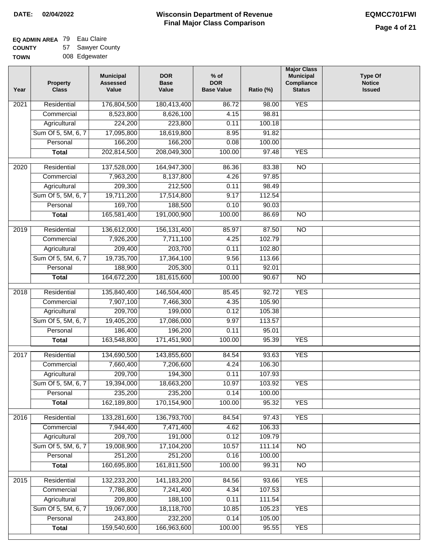### **EQ ADMIN AREA** 79 Eau Claire

**COUNTY TOWN** 57 Sawyer County 008 Edgewater

| Year | <b>Property</b><br><b>Class</b> | <b>Municipal</b><br><b>Assessed</b><br>Value | <b>DOR</b><br><b>Base</b><br>Value | % of<br><b>DOR</b><br><b>Base Value</b> | Ratio (%) | <b>Major Class</b><br><b>Municipal</b><br>Compliance<br><b>Status</b> | <b>Type Of</b><br><b>Notice</b><br><b>Issued</b> |
|------|---------------------------------|----------------------------------------------|------------------------------------|-----------------------------------------|-----------|-----------------------------------------------------------------------|--------------------------------------------------|
| 2021 | Residential                     | 176,804,500                                  | 180,413,400                        | 86.72                                   | 98.00     | <b>YES</b>                                                            |                                                  |
|      | Commercial                      | 8,523,800                                    | 8,626,100                          | 4.15                                    | 98.81     |                                                                       |                                                  |
|      | Agricultural                    | 224,200                                      | 223,800                            | 0.11                                    | 100.18    |                                                                       |                                                  |
|      | Sum Of 5, 5M, 6, 7              | 17,095,800                                   | 18,619,800                         | 8.95                                    | 91.82     |                                                                       |                                                  |
|      | Personal                        | 166,200                                      | 166,200                            | 0.08                                    | 100.00    |                                                                       |                                                  |
|      | <b>Total</b>                    | 202,814,500                                  | 208,049,300                        | 100.00                                  | 97.48     | <b>YES</b>                                                            |                                                  |
| 2020 | Residential                     | 137,528,000                                  | 164,947,300                        | 86.36                                   | 83.38     | $\overline{10}$                                                       |                                                  |
|      | Commercial                      | 7,963,200                                    | 8,137,800                          | 4.26                                    | 97.85     |                                                                       |                                                  |
|      | Agricultural                    | 209,300                                      | 212,500                            | 0.11                                    | 98.49     |                                                                       |                                                  |
|      | Sum Of 5, 5M, 6, 7              | 19,711,200                                   | 17,514,800                         | 9.17                                    | 112.54    |                                                                       |                                                  |
|      | Personal                        | 169,700                                      | 188,500                            | 0.10                                    | 90.03     |                                                                       |                                                  |
|      | <b>Total</b>                    | 165,581,400                                  | 191,000,900                        | 100.00                                  | 86.69     | $\overline{NO}$                                                       |                                                  |
| 2019 | Residential                     | 136,612,000                                  | 156, 131, 400                      | 85.97                                   | 87.50     | $\overline{10}$                                                       |                                                  |
|      | Commercial                      | 7,926,200                                    | 7,711,100                          | 4.25                                    | 102.79    |                                                                       |                                                  |
|      | Agricultural                    | 209,400                                      | 203,700                            | 0.11                                    | 102.80    |                                                                       |                                                  |
|      | Sum Of 5, 5M, 6, 7              | 19,735,700                                   | 17,364,100                         | 9.56                                    | 113.66    |                                                                       |                                                  |
|      | Personal                        | 188,900                                      | 205,300                            | 0.11                                    | 92.01     |                                                                       |                                                  |
|      | <b>Total</b>                    | 164,672,200                                  | 181,615,600                        | 100.00                                  | 90.67     | $\overline{NO}$                                                       |                                                  |
| 2018 | Residential                     | 135,840,400                                  | 146,504,400                        | 85.45                                   | 92.72     | <b>YES</b>                                                            |                                                  |
|      | Commercial                      | 7,907,100                                    | 7,466,300                          | 4.35                                    | 105.90    |                                                                       |                                                  |
|      | Agricultural                    | 209,700                                      | 199,000                            | 0.12                                    | 105.38    |                                                                       |                                                  |
|      | Sum Of 5, 5M, 6, 7              | 19,405,200                                   | 17,086,000                         | 9.97                                    | 113.57    |                                                                       |                                                  |
|      | Personal                        | 186,400                                      | 196,200                            | 0.11                                    | 95.01     |                                                                       |                                                  |
|      | <b>Total</b>                    | 163,548,800                                  | 171,451,900                        | 100.00                                  | 95.39     | <b>YES</b>                                                            |                                                  |
| 2017 | Residential                     | 134,690,500                                  | 143,855,600                        | 84.54                                   | 93.63     | <b>YES</b>                                                            |                                                  |
|      | Commercial                      | 7,660,400                                    | 7,206,600                          | 4.24                                    | 106.30    |                                                                       |                                                  |
|      | Agricultural                    | 209,700                                      | 194,300                            | 0.11                                    | 107.93    |                                                                       |                                                  |
|      | Sum Of 5, 5M, 6, 7              | 19,394,000                                   | 18,663,200                         | 10.97                                   | 103.92    | <b>YES</b>                                                            |                                                  |
|      | Personal                        | 235,200                                      | 235,200                            | 0.14                                    | 100.00    |                                                                       |                                                  |
|      | <b>Total</b>                    | 162,189,800                                  | 170,154,900                        | 100.00                                  | 95.32     | <b>YES</b>                                                            |                                                  |
| 2016 | Residential                     | 133,281,600                                  | 136,793,700                        | 84.54                                   | 97.43     | <b>YES</b>                                                            |                                                  |
|      | Commercial                      | 7,944,400                                    | 7,471,400                          | 4.62                                    | 106.33    |                                                                       |                                                  |
|      | Agricultural                    | 209,700                                      | 191,000                            | 0.12                                    | 109.79    |                                                                       |                                                  |
|      | Sum Of 5, 5M, 6, 7              | 19,008,900                                   | 17,104,200                         | 10.57                                   | 111.14    | $\overline{NO}$                                                       |                                                  |
|      | Personal                        | 251,200                                      | 251,200                            | 0.16                                    | 100.00    |                                                                       |                                                  |
|      | <b>Total</b>                    | 160,695,800                                  | 161,811,500                        | 100.00                                  | 99.31     | N <sub>O</sub>                                                        |                                                  |
| 2015 | Residential                     | 132,233,200                                  | 141, 183, 200                      | 84.56                                   | 93.66     | <b>YES</b>                                                            |                                                  |
|      | Commercial                      | 7,786,800                                    | 7,241,400                          | 4.34                                    | 107.53    |                                                                       |                                                  |
|      | Agricultural                    | 209,800                                      | 188,100                            | 0.11                                    | 111.54    |                                                                       |                                                  |
|      | Sum Of 5, 5M, 6, 7              | 19,067,000                                   | 18,118,700                         | 10.85                                   | 105.23    | <b>YES</b>                                                            |                                                  |
|      | Personal                        | 243,800                                      | 232,200                            | 0.14                                    | 105.00    |                                                                       |                                                  |
|      | <b>Total</b>                    | 159,540,600                                  | 166,963,600                        | 100.00                                  | 95.55     | <b>YES</b>                                                            |                                                  |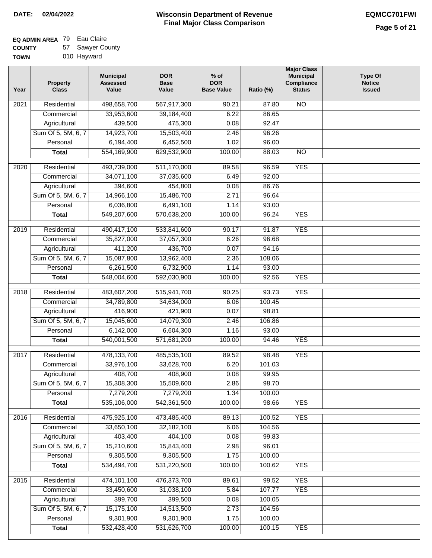### **Wisconsin Department of Revenue DATE: 02/04/2022 EQMCC701FWI Final Major Class Comparison**

**Major Class Municipal Compliance Status**

NO

NO

**Type Of Notice Issued**

### **EQ ADMIN AREA** Eau Claire

**COUNTY** 57 Sawyer County

| <b>TOWN</b> | 010 Hayward              |                                              |                                    |                                           |           |  |  |  |
|-------------|--------------------------|----------------------------------------------|------------------------------------|-------------------------------------------|-----------|--|--|--|
| Year        | <b>Property</b><br>Class | <b>Municipal</b><br><b>Assessed</b><br>Value | <b>DOR</b><br><b>Base</b><br>Value | $%$ of<br><b>DOR</b><br><b>Base Value</b> | Ratio (%) |  |  |  |
| 2021        | Residential              | 498,658,700                                  | 567,917,300                        | 90.21                                     | 87.80     |  |  |  |
|             | Commercial               | 33,953,600                                   | 39,184,400                         | 6.22                                      | 86.65     |  |  |  |
|             | Agricultural             | 439,500                                      | 475,300                            | 0.08                                      | 92.47     |  |  |  |
|             | Sum Of 5, 5M, 6, 7       | 14,923,700                                   | 15,503,400                         | 2.46                                      | 96.26     |  |  |  |
|             | Personal                 | 6,194,400                                    | 6,452,500                          | 1.02                                      | 96.00     |  |  |  |
|             | Total                    | 554,169,900                                  | 629,532,900                        | 100.00                                    | 88.03     |  |  |  |
|             |                          |                                              |                                    |                                           |           |  |  |  |
| 2020        | Residential              | 493,739,000                                  | 511,170,000                        | 89.58                                     | 96.59     |  |  |  |
|             | Commercial               | 34,071,100                                   | 37,035,600                         | 6.49                                      | 92.00     |  |  |  |
|             | Agricultural             | 394,600                                      | 454,800                            | 0.08                                      | 86.76     |  |  |  |
|             | Sum Of 5, 5M, 6, 7       | 14.966.100                                   | 15.486.700                         | 2.71                                      | 96.64     |  |  |  |

| $\overline{2020}$ | Residential        | 493,739,000 | 511,170,000 | 89.58  | 96.59  | <b>YES</b> |  |
|-------------------|--------------------|-------------|-------------|--------|--------|------------|--|
|                   | Commercial         | 34,071,100  | 37,035,600  | 6.49   | 92.00  |            |  |
|                   | Agricultural       | 394,600     | 454,800     | 0.08   | 86.76  |            |  |
|                   | Sum Of 5, 5M, 6, 7 | 14,966,100  | 15,486,700  | 2.71   | 96.64  |            |  |
|                   | Personal           | 6,036,800   | 6,491,100   | 1.14   | 93.00  |            |  |
|                   | <b>Total</b>       | 549,207,600 | 570,638,200 | 100.00 | 96.24  | <b>YES</b> |  |
| $\frac{1}{2019}$  | Residential        | 490,417,100 | 533,841,600 | 90.17  | 91.87  | <b>YES</b> |  |
|                   | Commercial         | 35,827,000  | 37,057,300  | 6.26   | 96.68  |            |  |
|                   | Agricultural       | 411,200     | 436,700     | 0.07   | 94.16  |            |  |
|                   | Sum Of 5, 5M, 6, 7 | 15,087,800  | 13,962,400  | 2.36   | 108.06 |            |  |
|                   | Personal           | 6,261,500   | 6,732,900   | 1.14   | 93.00  |            |  |
|                   | <b>Total</b>       | 548,004,600 | 592,030,900 | 100.00 | 92.56  | <b>YES</b> |  |
| 2018              | Residential        | 483,607,200 | 515,941,700 | 90.25  | 93.73  | <b>YES</b> |  |
|                   | Commercial         | 34,789,800  | 34,634,000  | 6.06   | 100.45 |            |  |
|                   | Agricultural       | 416,900     | 421,900     | 0.07   | 98.81  |            |  |
|                   | Sum Of 5, 5M, 6, 7 | 15,045,600  | 14,079,300  | 2.46   | 106.86 |            |  |
|                   | Personal           | 6,142,000   | 6,604,300   | 1.16   | 93.00  |            |  |
|                   | <b>Total</b>       | 540,001,500 | 571,681,200 | 100.00 | 94.46  | <b>YES</b> |  |
|                   |                    |             |             |        |        |            |  |
| 2017              | Residential        | 478,133,700 | 485,535,100 | 89.52  | 98.48  | <b>YES</b> |  |
|                   | Commercial         | 33,976,100  | 33,628,700  | 6.20   | 101.03 |            |  |
|                   | Agricultural       | 408,700     | 408,900     | 0.08   | 99.95  |            |  |
|                   | Sum Of 5, 5M, 6, 7 | 15,308,300  | 15,509,600  | 2.86   | 98.70  |            |  |
|                   | Personal           | 7,279,200   | 7,279,200   | 1.34   | 100.00 |            |  |
|                   | <b>Total</b>       | 535,106,000 | 542,361,500 | 100.00 | 98.66  | <b>YES</b> |  |
| 2016              | Residential        | 475,925,100 | 473,485,400 | 89.13  | 100.52 | <b>YES</b> |  |
|                   | Commercial         | 33,650,100  | 32,182,100  | 6.06   | 104.56 |            |  |
|                   | Agricultural       | 403,400     | 404,100     | 0.08   | 99.83  |            |  |
|                   | Sum Of 5, 5M, 6, 7 | 15,210,600  | 15,843,400  | 2.98   | 96.01  |            |  |
|                   | Personal           | 9,305,500   | 9,305,500   | 1.75   | 100.00 |            |  |
|                   | <b>Total</b>       | 534,494,700 | 531,220,500 | 100.00 | 100.62 | <b>YES</b> |  |
| 2015              | Residential        | 474,101,100 | 476,373,700 | 89.61  | 99.52  | <b>YES</b> |  |
|                   | Commercial         | 33,450,600  | 31,038,100  | 5.84   | 107.77 | <b>YES</b> |  |
|                   | Agricultural       | 399,700     | 399,500     | 0.08   | 100.05 |            |  |
|                   | Sum Of 5, 5M, 6, 7 | 15,175,100  | 14,513,500  | 2.73   | 104.56 |            |  |
|                   | Personal           | 9,301,900   | 9,301,900   | 1.75   | 100.00 |            |  |
|                   | <b>Total</b>       | 532,428,400 | 531,626,700 | 100.00 | 100.15 | <b>YES</b> |  |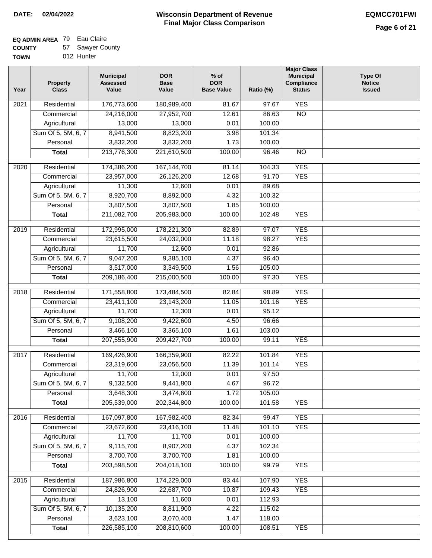### **Wisconsin Department of Revenue DATE: 02/04/2022 EQMCC701FWI Final Major Class Comparison**

#### **EQ ADMIN AREA** Eau Claire

**COUNTY TOWN** 57 012 Hunter Sawyer County

> Sum Of 5, 5M, 6, 7 **Personal Total**

 10,135,200 3,623,100 226,585,100

 8,811,900 3,070,400 208,810,600

 4.22 1.47 100.00  115.02 118.00 108.51

YES

| Year              | Property<br><b>Class</b> | <b>Municipal</b><br><b>Assessed</b><br>Value | <b>DOR</b><br><b>Base</b><br>Value | $%$ of<br><b>DOR</b><br><b>Base Value</b> | Ratio (%) | <b>Major Class</b><br><b>Municipal</b><br>Compliance<br><b>Status</b> | <b>Type Of</b><br><b>Notice</b><br><b>Issued</b> |
|-------------------|--------------------------|----------------------------------------------|------------------------------------|-------------------------------------------|-----------|-----------------------------------------------------------------------|--------------------------------------------------|
| $\overline{202}1$ | Residential              | 176,773,600                                  | 180,989,400                        | 81.67                                     | 97.67     | <b>YES</b>                                                            |                                                  |
|                   | Commercial               | 24,216,000                                   | 27,952,700                         | 12.61                                     | 86.63     | $\overline{NO}$                                                       |                                                  |
|                   | Agricultural             | 13,000                                       | 13,000                             | 0.01                                      | 100.00    |                                                                       |                                                  |
|                   | Sum Of 5, 5M, 6, 7       | 8,941,500                                    | 8,823,200                          | 3.98                                      | 101.34    |                                                                       |                                                  |
|                   | Personal                 | 3,832,200                                    | 3,832,200                          | 1.73                                      | 100.00    |                                                                       |                                                  |
|                   | <b>Total</b>             | 213,776,300                                  | 221,610,500                        | 100.00                                    | 96.46     | $\overline{NO}$                                                       |                                                  |
| 2020              | Residential              | 174,386,200                                  | 167, 144, 700                      | 81.14                                     | 104.33    | <b>YES</b>                                                            |                                                  |
|                   | Commercial               | 23,957,000                                   | 26,126,200                         | 12.68                                     | 91.70     | <b>YES</b>                                                            |                                                  |
|                   | Agricultural             | 11,300                                       | 12,600                             | 0.01                                      | 89.68     |                                                                       |                                                  |
|                   | Sum Of 5, 5M, 6, 7       | 8,920,700                                    | 8,892,000                          | 4.32                                      | 100.32    |                                                                       |                                                  |
|                   | Personal                 | 3,807,500                                    | 3,807,500                          | 1.85                                      | 100.00    |                                                                       |                                                  |
|                   | <b>Total</b>             | 211,082,700                                  | 205,983,000                        | 100.00                                    | 102.48    | <b>YES</b>                                                            |                                                  |
| 2019              | Residential              | 172,995,000                                  | 178,221,300                        | 82.89                                     | 97.07     | <b>YES</b>                                                            |                                                  |
|                   | Commercial               | 23,615,500                                   | 24,032,000                         | 11.18                                     | 98.27     | <b>YES</b>                                                            |                                                  |
|                   | Agricultural             | 11,700                                       | 12,600                             | 0.01                                      | 92.86     |                                                                       |                                                  |
|                   | Sum Of 5, 5M, 6, 7       | 9,047,200                                    | 9,385,100                          | 4.37                                      | 96.40     |                                                                       |                                                  |
|                   | Personal                 | 3,517,000                                    | 3,349,500                          | 1.56                                      | 105.00    |                                                                       |                                                  |
|                   | <b>Total</b>             | 209,186,400                                  | 215,000,500                        | 100.00                                    | 97.30     | <b>YES</b>                                                            |                                                  |
| 2018              | Residential              | 171,558,800                                  | 173,484,500                        | 82.84                                     | 98.89     | <b>YES</b>                                                            |                                                  |
|                   | Commercial               | 23,411,100                                   | 23,143,200                         | 11.05                                     | 101.16    | <b>YES</b>                                                            |                                                  |
|                   | Agricultural             | 11,700                                       | 12,300                             | 0.01                                      | 95.12     |                                                                       |                                                  |
|                   | Sum Of 5, 5M, 6, 7       | 9,108,200                                    | 9,422,600                          | 4.50                                      | 96.66     |                                                                       |                                                  |
|                   | Personal                 | 3,466,100                                    | 3,365,100                          | 1.61                                      | 103.00    |                                                                       |                                                  |
|                   | <b>Total</b>             | 207,555,900                                  | 209,427,700                        | 100.00                                    | 99.11     | <b>YES</b>                                                            |                                                  |
|                   |                          |                                              |                                    |                                           |           |                                                                       |                                                  |
| $\overline{2017}$ | Residential              | 169,426,900                                  | 166,359,900                        | 82.22                                     | 101.84    | <b>YES</b>                                                            |                                                  |
|                   | Commercial               | 23,319,600                                   | 23,056,500                         | 11.39                                     | 101.14    | <b>YES</b>                                                            |                                                  |
|                   | Agricultural             | 11,700                                       | 12,000                             | 0.01                                      | 97.50     |                                                                       |                                                  |
|                   | Sum Of 5, 5M, 6, 7       | 9,132,500                                    | 9,441,800                          | 4.67                                      | 96.72     |                                                                       |                                                  |
|                   | Personal                 | 3,648,300                                    | 3,474,600                          | 1.72                                      | 105.00    |                                                                       |                                                  |
|                   | <b>Total</b>             | 205,539,000                                  | 202,344,800                        | 100.00                                    | 101.58    | <b>YES</b>                                                            |                                                  |
| 2016              | Residential              | 167,097,800                                  | 167,982,400                        | 82.34                                     | 99.47     | <b>YES</b>                                                            |                                                  |
|                   | Commercial               | 23,672,600                                   | 23,416,100                         | 11.48                                     | 101.10    | <b>YES</b>                                                            |                                                  |
|                   | Agricultural             | 11,700                                       | 11,700                             | 0.01                                      | 100.00    |                                                                       |                                                  |
|                   | Sum Of 5, 5M, 6, 7       | 9,115,700                                    | 8,907,200                          | 4.37                                      | 102.34    |                                                                       |                                                  |
|                   | Personal                 | 3,700,700                                    | 3,700,700                          | 1.81                                      | 100.00    |                                                                       |                                                  |
|                   | <b>Total</b>             | 203,598,500                                  | 204,018,100                        | 100.00                                    | 99.79     | <b>YES</b>                                                            |                                                  |
| $\overline{2015}$ | Residential              | 187,986,800                                  | 174,229,000                        | 83.44                                     | 107.90    | <b>YES</b>                                                            |                                                  |
|                   | Commercial               | 24,826,900                                   | 22,687,700                         | 10.87                                     | 109.43    | <b>YES</b>                                                            |                                                  |
|                   | Agricultural             | 13,100                                       | 11,600                             | 0.01                                      | 112.93    |                                                                       |                                                  |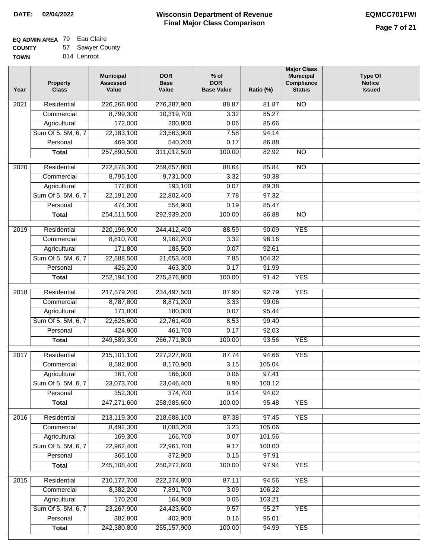### **EQ ADMIN AREA** 79 Eau Claire

**COUNTY** 57 Sawyer County

**TOWN** 014 Lenroot

| Year              | <b>Property</b><br><b>Class</b> | <b>Municipal</b><br><b>Assessed</b><br>Value | <b>DOR</b><br><b>Base</b><br>Value | $%$ of<br><b>DOR</b><br><b>Base Value</b> | Ratio (%) | <b>Major Class</b><br><b>Municipal</b><br>Compliance<br><b>Status</b> | <b>Type Of</b><br><b>Notice</b><br><b>Issued</b> |
|-------------------|---------------------------------|----------------------------------------------|------------------------------------|-------------------------------------------|-----------|-----------------------------------------------------------------------|--------------------------------------------------|
| 2021              | Residential                     | 226,266,800                                  | 276,387,900                        | 88.87                                     | 81.87     | N <sub>O</sub>                                                        |                                                  |
|                   | Commercial                      | 8,799,300                                    | 10,319,700                         | 3.32                                      | 85.27     |                                                                       |                                                  |
|                   | Agricultural                    | 172,000                                      | 200,800                            | 0.06                                      | 85.66     |                                                                       |                                                  |
|                   | Sum Of 5, 5M, 6, 7              | 22,183,100                                   | 23,563,900                         | 7.58                                      | 94.14     |                                                                       |                                                  |
|                   | Personal                        | 469,300                                      | 540,200                            | 0.17                                      | 86.88     |                                                                       |                                                  |
|                   | <b>Total</b>                    | 257,890,500                                  | 311,012,500                        | 100.00                                    | 82.92     | $\overline{NO}$                                                       |                                                  |
| $\overline{2020}$ | Residential                     | 222,878,300                                  | 259,657,800                        | 88.64                                     | 85.84     | $\overline{10}$                                                       |                                                  |
|                   | Commercial                      | 8,795,100                                    | 9,731,000                          | 3.32                                      | 90.38     |                                                                       |                                                  |
|                   | Agricultural                    | 172,600                                      | 193,100                            | 0.07                                      | 89.38     |                                                                       |                                                  |
|                   | Sum Of 5, 5M, 6, 7              | 22,191,200                                   | 22,802,400                         | 7.78                                      | 97.32     |                                                                       |                                                  |
|                   | Personal                        | 474,300                                      | 554,900                            | 0.19                                      | 85.47     |                                                                       |                                                  |
|                   | <b>Total</b>                    | 254,511,500                                  | 292,939,200                        | 100.00                                    | 86.88     | $\overline{NO}$                                                       |                                                  |
| 2019              | Residential                     | 220,196,900                                  | 244,412,400                        | 88.59                                     | 90.09     | <b>YES</b>                                                            |                                                  |
|                   | Commercial                      | 8,810,700                                    | 9,162,200                          | 3.32                                      | 96.16     |                                                                       |                                                  |
|                   | Agricultural                    | 171,800                                      | 185,500                            | 0.07                                      | 92.61     |                                                                       |                                                  |
|                   | Sum Of 5, 5M, 6, 7              | 22,588,500                                   | 21,653,400                         | 7.85                                      | 104.32    |                                                                       |                                                  |
|                   | Personal                        | 426,200                                      | 463,300                            | 0.17                                      | 91.99     |                                                                       |                                                  |
|                   | <b>Total</b>                    | 252,194,100                                  | 275,876,800                        | 100.00                                    | 91.42     | <b>YES</b>                                                            |                                                  |
| 2018              | Residential                     | 217,579,200                                  | 234,497,500                        | 87.90                                     | 92.79     | <b>YES</b>                                                            |                                                  |
|                   | Commercial                      | 8,787,800                                    | 8,871,200                          | 3.33                                      | 99.06     |                                                                       |                                                  |
|                   | Agricultural                    | 171,800                                      | 180,000                            | 0.07                                      | 95.44     |                                                                       |                                                  |
|                   | Sum Of 5, 5M, 6, 7              | 22,625,600                                   | 22,761,400                         | 8.53                                      | 99.40     |                                                                       |                                                  |
|                   | Personal                        | 424,900                                      | 461,700                            | 0.17                                      | 92.03     |                                                                       |                                                  |
|                   | <b>Total</b>                    | 249,589,300                                  | 266,771,800                        | 100.00                                    | 93.56     | <b>YES</b>                                                            |                                                  |
| $\overline{2017}$ | Residential                     | 215, 101, 100                                | 227,227,600                        | 87.74                                     | 94.66     | <b>YES</b>                                                            |                                                  |
|                   | Commercial                      | 8,582,800                                    | 8,170,900                          | 3.15                                      | 105.04    |                                                                       |                                                  |
|                   | Agricultural                    | 161,700                                      | 166,000                            | 0.06                                      | 97.41     |                                                                       |                                                  |
|                   | Sum Of 5, 5M, 6, 7              | 23,073,700                                   | 23,046,400                         | 8.90                                      | 100.12    |                                                                       |                                                  |
|                   | Personal                        | 352,300                                      | 374,700                            | 0.14                                      | 94.02     |                                                                       |                                                  |
|                   | <b>Total</b>                    | 247,271,600                                  | 258,985,600                        | 100.00                                    | 95.48     | <b>YES</b>                                                            |                                                  |
| 2016              | Residential                     | 213,119,300                                  | 218,688,100                        | 87.38                                     | 97.45     | <b>YES</b>                                                            |                                                  |
|                   | Commercial                      | 8,492,300                                    | 8,083,200                          | 3.23                                      | 105.06    |                                                                       |                                                  |
|                   | Agricultural                    | 169,300                                      | 166,700                            | 0.07                                      | 101.56    |                                                                       |                                                  |
|                   | Sum Of 5, 5M, 6, 7              | 22,962,400                                   | 22,961,700                         | 9.17                                      | 100.00    |                                                                       |                                                  |
|                   | Personal                        | 365,100                                      | 372,900                            | 0.15                                      | 97.91     |                                                                       |                                                  |
|                   | <b>Total</b>                    | 245,108,400                                  | 250,272,600                        | 100.00                                    | 97.94     | <b>YES</b>                                                            |                                                  |
| 2015              | Residential                     | 210, 177, 700                                | 222,274,800                        | 87.11                                     | 94.56     | <b>YES</b>                                                            |                                                  |
|                   | Commercial                      | 8,382,200                                    | 7,891,700                          | 3.09                                      | 106.22    |                                                                       |                                                  |
|                   | Agricultural                    | 170,200                                      | 164,900                            | 0.06                                      | 103.21    |                                                                       |                                                  |
|                   | Sum Of 5, 5M, 6, 7              | 23,267,900                                   | 24,423,600                         | 9.57                                      | 95.27     | <b>YES</b>                                                            |                                                  |
|                   | Personal                        | 382,800                                      | 402,900                            | 0.16                                      | 95.01     |                                                                       |                                                  |
|                   | <b>Total</b>                    | 242,380,800                                  | 255, 157, 900                      | 100.00                                    | 94.99     | <b>YES</b>                                                            |                                                  |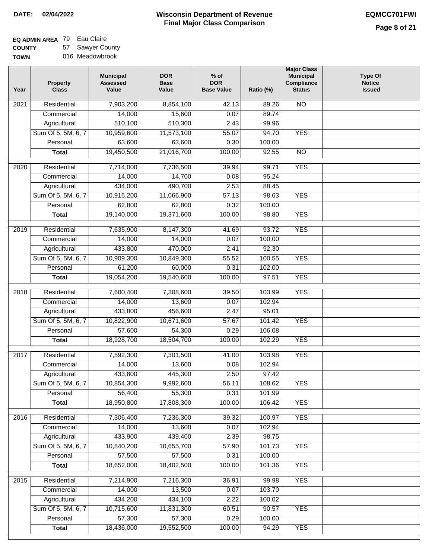#### **EQ ADMIN AREA** 79 Eau Claire **COUNTY** 57 Sawyer County

**TOWN** 016 Meadowbrook

| Year              | <b>Property</b><br><b>Class</b> | <b>Municipal</b><br><b>Assessed</b><br>Value | <b>DOR</b><br><b>Base</b><br>Value | $%$ of<br><b>DOR</b><br><b>Base Value</b> | Ratio (%) | <b>Major Class</b><br><b>Municipal</b><br>Compliance<br><b>Status</b> | <b>Type Of</b><br><b>Notice</b><br><b>Issued</b> |
|-------------------|---------------------------------|----------------------------------------------|------------------------------------|-------------------------------------------|-----------|-----------------------------------------------------------------------|--------------------------------------------------|
| $\overline{202}1$ | Residential                     | 7,903,200                                    | 8,854,100                          | 42.13                                     | 89.26     | N <sub>O</sub>                                                        |                                                  |
|                   | Commercial                      | 14,000                                       | 15,600                             | 0.07                                      | 89.74     |                                                                       |                                                  |
|                   | Agricultural                    | 510,100                                      | 510,300                            | 2.43                                      | 99.96     |                                                                       |                                                  |
|                   | Sum Of 5, 5M, 6, 7              | 10,959,600                                   | 11,573,100                         | 55.07                                     | 94.70     | <b>YES</b>                                                            |                                                  |
|                   | Personal                        | 63,600                                       | 63,600                             | 0.30                                      | 100.00    |                                                                       |                                                  |
|                   | <b>Total</b>                    | 19,450,500                                   | 21,016,700                         | 100.00                                    | 92.55     | $\overline{NO}$                                                       |                                                  |
| $\overline{2020}$ | Residential                     | 7,714,000                                    | 7,736,500                          | 39.94                                     | 99.71     | <b>YES</b>                                                            |                                                  |
|                   | Commercial                      | 14,000                                       | 14,700                             | 0.08                                      | 95.24     |                                                                       |                                                  |
|                   | Agricultural                    | 434,000                                      | 490,700                            | 2.53                                      | 88.45     |                                                                       |                                                  |
|                   | Sum Of 5, 5M, 6, 7              | 10,915,200                                   | 11,066,900                         | 57.13                                     | 98.63     | <b>YES</b>                                                            |                                                  |
|                   | Personal                        | 62,800                                       | 62,800                             | 0.32                                      | 100.00    |                                                                       |                                                  |
|                   | <b>Total</b>                    | 19,140,000                                   | 19,371,600                         | 100.00                                    | 98.80     | <b>YES</b>                                                            |                                                  |
| 2019              | Residential                     | 7,635,900                                    | 8,147,300                          | 41.69                                     | 93.72     | <b>YES</b>                                                            |                                                  |
|                   | Commercial                      | 14,000                                       | 14,000                             | 0.07                                      | 100.00    |                                                                       |                                                  |
|                   | Agricultural                    | 433,800                                      | 470,000                            | 2.41                                      | 92.30     |                                                                       |                                                  |
|                   | Sum Of 5, 5M, 6, 7              | 10,909,300                                   | 10,849,300                         | 55.52                                     | 100.55    | <b>YES</b>                                                            |                                                  |
|                   | Personal                        | 61,200                                       | 60,000                             | 0.31                                      | 102.00    |                                                                       |                                                  |
|                   | <b>Total</b>                    | 19,054,200                                   | 19,540,600                         | 100.00                                    | 97.51     | <b>YES</b>                                                            |                                                  |
|                   |                                 |                                              |                                    |                                           |           |                                                                       |                                                  |
| 2018              | Residential                     | 7,600,400                                    | 7,308,600                          | 39.50                                     | 103.99    | <b>YES</b>                                                            |                                                  |
|                   | Commercial                      | 14,000                                       | 13,600                             | 0.07                                      | 102.94    |                                                                       |                                                  |
|                   | Agricultural                    | 433,800                                      | 456,600                            | 2.47                                      | 95.01     |                                                                       |                                                  |
|                   | Sum Of 5, 5M, 6, 7              | 10,822,900                                   | 10,671,600                         | 57.67                                     | 101.42    | <b>YES</b>                                                            |                                                  |
|                   | Personal                        | 57,600                                       | 54,300                             | 0.29                                      | 106.08    |                                                                       |                                                  |
|                   | <b>Total</b>                    | 18,928,700                                   | 18,504,700                         | 100.00                                    | 102.29    | <b>YES</b>                                                            |                                                  |
| $\overline{2017}$ | Residential                     | 7,592,300                                    | 7,301,500                          | 41.00                                     | 103.98    | <b>YES</b>                                                            |                                                  |
|                   | Commercial                      | 14,000                                       | 13,600                             | 0.08                                      | 102.94    |                                                                       |                                                  |
|                   | Agricultural                    | 433,800                                      | 445,300                            | 2.50                                      | 97.42     |                                                                       |                                                  |
|                   | Sum Of 5, 5M, 6, 7              | 10,854,300                                   | 9,992,600                          | 56.11                                     | 108.62    | <b>YES</b>                                                            |                                                  |
|                   | Personal                        | 56,400                                       | 55,300                             | 0.31                                      | 101.99    |                                                                       |                                                  |
|                   | <b>Total</b>                    | 18,950,800                                   | 17,808,300                         | 100.00                                    | 106.42    | <b>YES</b>                                                            |                                                  |
| 2016              | Residential                     | 7,306,400                                    | 7,236,300                          | 39.32                                     | 100.97    | <b>YES</b>                                                            |                                                  |
|                   | Commercial                      | 14,000                                       | 13,600                             | 0.07                                      | 102.94    |                                                                       |                                                  |
|                   | Agricultural                    | 433,900                                      | 439,400                            | 2.39                                      | 98.75     |                                                                       |                                                  |
|                   | Sum Of 5, 5M, 6, 7              | 10,840,200                                   | 10,655,700                         | 57.90                                     | 101.73    | <b>YES</b>                                                            |                                                  |
|                   | Personal                        | 57,500                                       | 57,500                             | 0.31                                      | 100.00    |                                                                       |                                                  |
|                   | <b>Total</b>                    | 18,652,000                                   | 18,402,500                         | 100.00                                    | 101.36    | <b>YES</b>                                                            |                                                  |
| 2015              | Residential                     | 7,214,900                                    | 7,216,300                          | 36.91                                     | 99.98     | <b>YES</b>                                                            |                                                  |
|                   | Commercial                      | 14,000                                       | 13,500                             | 0.07                                      | 103.70    |                                                                       |                                                  |
|                   | Agricultural                    | 434,200                                      | 434,100                            | 2.22                                      | 100.02    |                                                                       |                                                  |
|                   | Sum Of 5, 5M, 6, 7              | 10,715,600                                   | 11,831,300                         | 60.51                                     | 90.57     | <b>YES</b>                                                            |                                                  |
|                   | Personal                        | 57,300                                       | 57,300                             | 0.29                                      | 100.00    |                                                                       |                                                  |
|                   | <b>Total</b>                    | 18,436,000                                   | 19,552,500                         | 100.00                                    | 94.29     | <b>YES</b>                                                            |                                                  |
|                   |                                 |                                              |                                    |                                           |           |                                                                       |                                                  |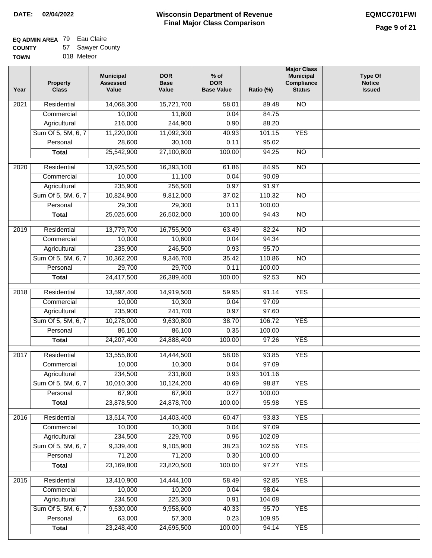# **EQ ADMIN AREA** 79 Eau Claire

| <b>COUNTY</b> | 57 Sawyer County |
|---------------|------------------|
| <b>TOWN</b>   | 018 Meteor       |

| 'N | 018 Meteor |
|----|------------|
|    |            |

| Year              | <b>Property</b><br><b>Class</b> | <b>Municipal</b><br><b>Assessed</b><br>Value | <b>DOR</b><br><b>Base</b><br>Value | $%$ of<br><b>DOR</b><br><b>Base Value</b> | Ratio (%)       | <b>Major Class</b><br><b>Municipal</b><br>Compliance<br><b>Status</b> | Type Of<br><b>Notice</b><br><b>Issued</b> |
|-------------------|---------------------------------|----------------------------------------------|------------------------------------|-------------------------------------------|-----------------|-----------------------------------------------------------------------|-------------------------------------------|
| 2021              | Residential                     | 14,068,300                                   | 15,721,700                         | 58.01                                     | 89.48           | <b>NO</b>                                                             |                                           |
|                   | Commercial                      | 10,000                                       | 11,800                             | 0.04                                      | 84.75           |                                                                       |                                           |
|                   | Agricultural                    | 216,000                                      | 244,900                            | 0.90                                      | 88.20           |                                                                       |                                           |
|                   | Sum Of 5, 5M, 6, 7              | 11,220,000                                   | 11,092,300                         | 40.93                                     | 101.15          | <b>YES</b>                                                            |                                           |
|                   | Personal                        | 28,600                                       | 30,100                             | 0.11                                      | 95.02           |                                                                       |                                           |
|                   | <b>Total</b>                    | 25,542,900                                   | 27,100,800                         | 100.00                                    | 94.25           | $\overline{NO}$                                                       |                                           |
|                   | Residential                     |                                              | 16,393,100                         | 61.86                                     | 84.95           | $\overline{NO}$                                                       |                                           |
| 2020              | Commercial                      | 13,925,500<br>10,000                         | 11,100                             | 0.04                                      | 90.09           |                                                                       |                                           |
|                   | Agricultural                    | 235,900                                      | 256,500                            | 0.97                                      | 91.97           |                                                                       |                                           |
|                   | Sum Of 5, 5M, 6, 7              | 10,824,900                                   | 9,812,000                          | 37.02                                     | 110.32          | <b>NO</b>                                                             |                                           |
|                   | Personal                        | 29,300                                       | 29,300                             | 0.11                                      | 100.00          |                                                                       |                                           |
|                   | <b>Total</b>                    | 25,025,600                                   | 26,502,000                         | 100.00                                    | 94.43           | $\overline{NO}$                                                       |                                           |
|                   |                                 |                                              |                                    |                                           |                 |                                                                       |                                           |
| $\frac{1}{2019}$  | Residential                     | 13,779,700                                   | 16,755,900                         | 63.49                                     | 82.24           | $\overline{NO}$                                                       |                                           |
|                   | Commercial                      | 10,000                                       | 10,600                             | 0.04                                      | 94.34           |                                                                       |                                           |
|                   | Agricultural                    | 235,900                                      | 246,500                            | 0.93                                      | 95.70           |                                                                       |                                           |
|                   | Sum Of 5, 5M, 6, 7              | 10,362,200                                   | 9,346,700                          | 35.42                                     | 110.86          | $\overline{NO}$                                                       |                                           |
|                   | Personal                        | 29,700                                       | 29,700                             | 0.11                                      | 100.00          |                                                                       |                                           |
|                   | <b>Total</b>                    | 24,417,500                                   | 26,389,400                         | 100.00                                    | 92.53           | $\overline{NO}$                                                       |                                           |
| 2018              | Residential                     | 13,597,400                                   | 14,919,500                         | 59.95                                     | 91.14           | <b>YES</b>                                                            |                                           |
|                   | Commercial                      | 10,000                                       | 10,300                             | 0.04                                      | 97.09           |                                                                       |                                           |
|                   | Agricultural                    | 235,900                                      | 241,700                            | 0.97                                      | 97.60           |                                                                       |                                           |
|                   | Sum Of 5, 5M, 6, 7              | 10,278,000                                   | 9,630,800                          | 38.70                                     | 106.72          | <b>YES</b>                                                            |                                           |
|                   | Personal                        | 86,100                                       | 86,100                             | 0.35                                      | 100.00          |                                                                       |                                           |
|                   | <b>Total</b>                    | 24,207,400                                   | 24,888,400                         | 100.00                                    | 97.26           | <b>YES</b>                                                            |                                           |
|                   |                                 |                                              |                                    |                                           |                 |                                                                       |                                           |
| $\overline{20}17$ | Residential                     | 13,555,800                                   | 14,444,500                         | 58.06                                     | 93.85           | <b>YES</b>                                                            |                                           |
|                   | Commercial                      | 10,000                                       | 10,300                             | 0.04                                      | 97.09           |                                                                       |                                           |
|                   | Agricultural                    | 234,500                                      | 231,800                            | 0.93                                      | 101.16          |                                                                       |                                           |
|                   | Sum Of 5, 5M, 6, 7              | 10,010,300                                   | 10,124,200                         | 40.69                                     | 98.87           | <b>YES</b>                                                            |                                           |
|                   | Personal                        | 67,900                                       | 67,900                             | 0.27                                      | 100.00          |                                                                       |                                           |
|                   | <b>Total</b>                    | 23,878,500                                   | 24,878,700                         | 100.00                                    | 95.98           | <b>YES</b>                                                            |                                           |
| 2016              | Residential                     | 13,514,700                                   | 14,403,400                         | 60.47                                     | 93.83           | <b>YES</b>                                                            |                                           |
|                   | Commercial                      | 10,000                                       | 10,300                             | 0.04                                      | 97.09           |                                                                       |                                           |
|                   | Agricultural                    | 234,500                                      | 229,700                            | 0.96                                      | 102.09          |                                                                       |                                           |
|                   | Sum Of 5, 5M, 6, 7              | 9,339,400                                    | 9,105,900                          | 38.23                                     | 102.56          | <b>YES</b>                                                            |                                           |
|                   | Personal                        | 71,200                                       | 71,200                             | 0.30                                      | 100.00          |                                                                       |                                           |
|                   | <b>Total</b>                    | 23,169,800                                   | 23,820,500                         | 100.00                                    | 97.27           | <b>YES</b>                                                            |                                           |
|                   |                                 |                                              |                                    |                                           |                 |                                                                       |                                           |
| 2015              | Residential                     | 13,410,900                                   | 14,444,100                         | 58.49                                     | 92.85           | <b>YES</b>                                                            |                                           |
|                   | Commercial                      | 10,000                                       | 10,200                             | 0.04                                      | 98.04           |                                                                       |                                           |
|                   | Agricultural                    | 234,500                                      | 225,300                            | 0.91                                      | 104.08          |                                                                       |                                           |
|                   | Sum Of 5, 5M, 6, 7<br>Personal  | 9,530,000<br>63,000                          | 9,958,600<br>57,300                | 40.33<br>0.23                             | 95.70<br>109.95 | <b>YES</b>                                                            |                                           |
|                   | <b>Total</b>                    | 23,248,400                                   | 24,695,500                         | 100.00                                    | 94.14           | <b>YES</b>                                                            |                                           |
|                   |                                 |                                              |                                    |                                           |                 |                                                                       |                                           |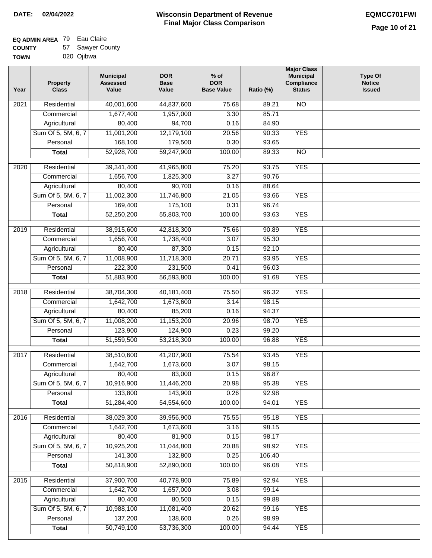#### **EQ ADMIN AREA** 79 Eau Claire **COUNTY**  $57<sub>5</sub>$

| <b>COUNTY</b> | 57 Sawyer County |
|---------------|------------------|
| <b>TOWN</b>   | 020 Ojibwa       |

| Year              | <b>Property</b><br><b>Class</b> | <b>Municipal</b><br><b>Assessed</b><br>Value | <b>DOR</b><br><b>Base</b><br>Value | % of<br><b>DOR</b><br><b>Base Value</b> | Ratio (%) | <b>Major Class</b><br><b>Municipal</b><br>Compliance<br><b>Status</b> | <b>Type Of</b><br><b>Notice</b><br><b>Issued</b> |
|-------------------|---------------------------------|----------------------------------------------|------------------------------------|-----------------------------------------|-----------|-----------------------------------------------------------------------|--------------------------------------------------|
| $\overline{202}1$ | Residential                     | 40,001,600                                   | 44,837,600                         | 75.68                                   | 89.21     | $\overline{NO}$                                                       |                                                  |
|                   | Commercial                      | 1,677,400                                    | 1,957,000                          | 3.30                                    | 85.71     |                                                                       |                                                  |
|                   | Agricultural                    | 80,400                                       | 94,700                             | 0.16                                    | 84.90     |                                                                       |                                                  |
|                   | Sum Of 5, 5M, 6, 7              | 11,001,200                                   | 12,179,100                         | 20.56                                   | 90.33     | <b>YES</b>                                                            |                                                  |
|                   | Personal                        | 168,100                                      | 179,500                            | 0.30                                    | 93.65     |                                                                       |                                                  |
|                   | <b>Total</b>                    | 52,928,700                                   | 59,247,900                         | 100.00                                  | 89.33     | $\overline{NO}$                                                       |                                                  |
| $\overline{2020}$ | Residential                     | 39,341,400                                   | 41,965,800                         | 75.20                                   | 93.75     | <b>YES</b>                                                            |                                                  |
|                   | Commercial                      | 1,656,700                                    | 1,825,300                          | 3.27                                    | 90.76     |                                                                       |                                                  |
|                   | Agricultural                    | 80,400                                       | 90,700                             | 0.16                                    | 88.64     |                                                                       |                                                  |
|                   | Sum Of 5, 5M, 6, 7              | 11,002,300                                   | 11,746,800                         | 21.05                                   | 93.66     | <b>YES</b>                                                            |                                                  |
|                   | Personal                        | 169,400                                      | 175,100                            | 0.31                                    | 96.74     |                                                                       |                                                  |
|                   | <b>Total</b>                    | 52,250,200                                   | 55,803,700                         | 100.00                                  | 93.63     | <b>YES</b>                                                            |                                                  |
|                   |                                 |                                              |                                    |                                         |           |                                                                       |                                                  |
| 2019              | Residential                     | 38,915,600                                   | 42,818,300                         | 75.66                                   | 90.89     | <b>YES</b>                                                            |                                                  |
|                   | Commercial                      | 1,656,700                                    | 1,738,400                          | 3.07                                    | 95.30     |                                                                       |                                                  |
|                   | Agricultural                    | 80,400                                       | 87,300                             | 0.15                                    | 92.10     |                                                                       |                                                  |
|                   | Sum Of 5, 5M, 6, 7              | 11,008,900                                   | 11,718,300                         | 20.71                                   | 93.95     | <b>YES</b>                                                            |                                                  |
|                   | Personal                        | 222,300                                      | 231,500                            | 0.41                                    | 96.03     |                                                                       |                                                  |
|                   | <b>Total</b>                    | 51,883,900                                   | 56,593,800                         | 100.00                                  | 91.68     | <b>YES</b>                                                            |                                                  |
| 2018              | Residential                     | 38,704,300                                   | 40,181,400                         | 75.50                                   | 96.32     | <b>YES</b>                                                            |                                                  |
|                   | Commercial                      | 1,642,700                                    | 1,673,600                          | 3.14                                    | 98.15     |                                                                       |                                                  |
|                   | Agricultural                    | 80,400                                       | 85,200                             | 0.16                                    | 94.37     |                                                                       |                                                  |
|                   | Sum Of 5, 5M, 6, 7              | 11,008,200                                   | 11,153,200                         | 20.96                                   | 98.70     | <b>YES</b>                                                            |                                                  |
|                   | Personal                        | 123,900                                      | 124,900                            | 0.23                                    | 99.20     |                                                                       |                                                  |
|                   | <b>Total</b>                    | 51,559,500                                   | 53,218,300                         | 100.00                                  | 96.88     | <b>YES</b>                                                            |                                                  |
| 2017              | Residential                     | 38,510,600                                   | 41,207,900                         | 75.54                                   | 93.45     | <b>YES</b>                                                            |                                                  |
|                   | Commercial                      | 1,642,700                                    | 1,673,600                          | 3.07                                    | 98.15     |                                                                       |                                                  |
|                   | Agricultural                    | 80,400                                       | 83,000                             | 0.15                                    | 96.87     |                                                                       |                                                  |
|                   | Sum Of 5, 5M, 6, 7              | 10,916,900                                   | 11,446,200                         | 20.98                                   | 95.38     | <b>YES</b>                                                            |                                                  |
|                   | Personal                        | 133,800                                      | 143,900                            | 0.26                                    | 92.98     |                                                                       |                                                  |
|                   | <b>Total</b>                    | 51,284,400                                   | 54,554,600                         | 100.00                                  | 94.01     | <b>YES</b>                                                            |                                                  |
|                   |                                 |                                              |                                    |                                         |           |                                                                       |                                                  |
| 2016              | Residential                     | 38,029,300                                   | 39,956,900                         | 75.55                                   | 95.18     | <b>YES</b>                                                            |                                                  |
|                   | Commercial                      | 1,642,700                                    | 1,673,600                          | 3.16                                    | 98.15     |                                                                       |                                                  |
|                   | Agricultural                    | 80,400                                       | 81,900                             | 0.15                                    | 98.17     |                                                                       |                                                  |
|                   | Sum Of 5, 5M, 6, 7              | 10,925,200                                   | 11,044,800                         | 20.88                                   | 98.92     | <b>YES</b>                                                            |                                                  |
|                   | Personal                        | 141,300                                      | 132,800                            | 0.25                                    | 106.40    |                                                                       |                                                  |
|                   | <b>Total</b>                    | 50,818,900                                   | 52,890,000                         | 100.00                                  | 96.08     | <b>YES</b>                                                            |                                                  |
| 2015              | Residential                     | 37,900,700                                   | 40,778,800                         | 75.89                                   | 92.94     | <b>YES</b>                                                            |                                                  |
|                   | Commercial                      | 1,642,700                                    | 1,657,000                          | 3.08                                    | 99.14     |                                                                       |                                                  |
|                   | Agricultural                    | 80,400                                       | 80,500                             | 0.15                                    | 99.88     |                                                                       |                                                  |
|                   | Sum Of 5, 5M, 6, 7              | 10,988,100                                   | 11,081,400                         | 20.62                                   | 99.16     | <b>YES</b>                                                            |                                                  |
|                   | Personal                        | 137,200                                      | 138,600                            | 0.26                                    | 98.99     |                                                                       |                                                  |
|                   | <b>Total</b>                    | 50,749,100                                   | 53,736,300                         | 100.00                                  | 94.44     | <b>YES</b>                                                            |                                                  |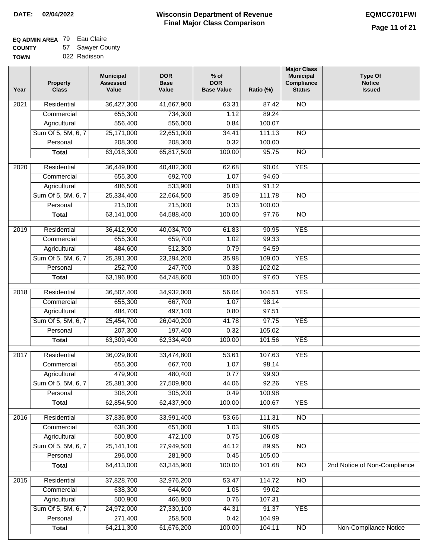#### **Wisconsin Department of Revenue Final Major Class Comparison DATE: 02/04/2022 EQMCC701FWI**

# **EQ ADMIN AREA** 79 Eau Claire

**COUN TOWN** 57 Sa er County

| ۹TΥ | 57 | sawyer Cou   |
|-----|----|--------------|
| V   |    | 022 Radisson |

| Year | <b>Property</b><br><b>Class</b> | <b>Municipal</b><br><b>Assessed</b><br>Value | <b>DOR</b><br><b>Base</b><br>Value | $%$ of<br><b>DOR</b><br><b>Base Value</b> | Ratio (%) | <b>Major Class</b><br><b>Municipal</b><br>Compliance<br><b>Status</b> | <b>Type Of</b><br><b>Notice</b><br><b>Issued</b> |
|------|---------------------------------|----------------------------------------------|------------------------------------|-------------------------------------------|-----------|-----------------------------------------------------------------------|--------------------------------------------------|
| 2021 | Residential                     | 36,427,300                                   | 41,667,900                         | 63.31                                     | 87.42     | N <sub>O</sub>                                                        |                                                  |
|      | Commercial                      | 655,300                                      | 734,300                            | 1.12                                      | 89.24     |                                                                       |                                                  |
|      | Agricultural                    | 556,400                                      | 556,000                            | 0.84                                      | 100.07    |                                                                       |                                                  |
|      | Sum Of 5, 5M, 6, 7              | 25,171,000                                   | 22,651,000                         | 34.41                                     | 111.13    | $\overline{NO}$                                                       |                                                  |
|      | Personal                        | 208,300                                      | 208,300                            | 0.32                                      | 100.00    |                                                                       |                                                  |
|      | <b>Total</b>                    | 63,018,300                                   | 65,817,500                         | 100.00                                    | 95.75     | $\overline{NO}$                                                       |                                                  |
| 2020 | Residential                     | 36,449,800                                   | 40,482,300                         | 62.68                                     | 90.04     | <b>YES</b>                                                            |                                                  |
|      | Commercial                      | 655,300                                      | 692,700                            | 1.07                                      | 94.60     |                                                                       |                                                  |
|      | Agricultural                    | 486,500                                      | 533,900                            | 0.83                                      | 91.12     |                                                                       |                                                  |
|      | Sum Of 5, 5M, 6, 7              | 25,334,400                                   | 22,664,500                         | 35.09                                     | 111.78    | $\overline{NO}$                                                       |                                                  |
|      | Personal                        | 215,000                                      | 215,000                            | 0.33                                      | 100.00    |                                                                       |                                                  |
|      | <b>Total</b>                    | 63,141,000                                   | 64,588,400                         | 100.00                                    | 97.76     | $\overline{NO}$                                                       |                                                  |
| 2019 | Residential                     | 36,412,900                                   | 40,034,700                         | 61.83                                     | 90.95     | <b>YES</b>                                                            |                                                  |
|      | Commercial                      | 655,300                                      | 659,700                            | 1.02                                      | 99.33     |                                                                       |                                                  |
|      | Agricultural                    | 484,600                                      | 512,300                            | 0.79                                      | 94.59     |                                                                       |                                                  |
|      | Sum Of 5, 5M, 6, 7              | 25,391,300                                   | 23,294,200                         | 35.98                                     | 109.00    | <b>YES</b>                                                            |                                                  |
|      | Personal                        | 252,700                                      | 247,700                            | 0.38                                      | 102.02    |                                                                       |                                                  |
|      | <b>Total</b>                    | 63,196,800                                   | 64,748,600                         | 100.00                                    | 97.60     | <b>YES</b>                                                            |                                                  |
|      |                                 |                                              |                                    |                                           |           |                                                                       |                                                  |
| 2018 | Residential                     | 36,507,400                                   | 34,932,000                         | 56.04                                     | 104.51    | <b>YES</b>                                                            |                                                  |
|      | Commercial                      | 655,300                                      | 667,700                            | 1.07                                      | 98.14     |                                                                       |                                                  |
|      | Agricultural                    | 484,700                                      | 497,100                            | 0.80                                      | 97.51     |                                                                       |                                                  |
|      | Sum Of 5, 5M, 6, 7              | 25,454,700                                   | 26,040,200                         | 41.78                                     | 97.75     | <b>YES</b>                                                            |                                                  |
|      | Personal                        | 207,300                                      | 197,400                            | 0.32                                      | 105.02    |                                                                       |                                                  |
|      | <b>Total</b>                    | 63,309,400                                   | 62,334,400                         | 100.00                                    | 101.56    | <b>YES</b>                                                            |                                                  |
| 2017 | Residential                     | 36,029,800                                   | 33,474,800                         | 53.61                                     | 107.63    | <b>YES</b>                                                            |                                                  |
|      | Commercial                      | 655,300                                      | 667,700                            | 1.07                                      | 98.14     |                                                                       |                                                  |
|      | Agricultural                    | 479,900                                      | 480,400                            | 0.77                                      | 99.90     |                                                                       |                                                  |
|      | Sum Of 5, 5M, 6, 7              | 25,381,300                                   | 27,509,800                         | 44.06                                     | 92.26     | <b>YES</b>                                                            |                                                  |
|      | Personal                        | 308,200                                      | 305,200                            | 0.49                                      | 100.98    |                                                                       |                                                  |
|      | <b>Total</b>                    | 62,854,500                                   | 62,437,900                         | 100.00                                    | 100.67    | <b>YES</b>                                                            |                                                  |
| 2016 | Residential                     | 37,836,800                                   | 33,991,400                         | 53.66                                     | 111.31    | $\overline{NO}$                                                       |                                                  |
|      | Commercial                      | 638,300                                      | 651,000                            | 1.03                                      | 98.05     |                                                                       |                                                  |
|      | Agricultural                    | 500,800                                      | 472,100                            | 0.75                                      | 106.08    |                                                                       |                                                  |
|      | Sum Of 5, 5M, 6, 7              | 25, 141, 100                                 | 27,949,500                         | 44.12                                     | 89.95     | $\overline{NO}$                                                       |                                                  |
|      | Personal                        | 296,000                                      | 281,900                            | 0.45                                      | 105.00    |                                                                       |                                                  |
|      | <b>Total</b>                    | 64,413,000                                   | 63,345,900                         | 100.00                                    | 101.68    | N <sub>O</sub>                                                        | 2nd Notice of Non-Compliance                     |
| 2015 | Residential                     | 37,828,700                                   | 32,976,200                         | 53.47                                     | 114.72    | N <sub>O</sub>                                                        |                                                  |
|      | Commercial                      | 638,300                                      | 644,600                            | 1.05                                      | 99.02     |                                                                       |                                                  |
|      | Agricultural                    | 500,900                                      | 466,800                            | 0.76                                      | 107.31    |                                                                       |                                                  |
|      | Sum Of 5, 5M, 6, 7              | 24,972,000                                   | 27,330,100                         | 44.31                                     | 91.37     | <b>YES</b>                                                            |                                                  |
|      | Personal                        | 271,400                                      | 258,500                            | 0.42                                      | 104.99    |                                                                       |                                                  |
|      | <b>Total</b>                    | 64,211,300                                   | 61,676,200                         | 100.00                                    | 104.11    | $\overline{NO}$                                                       | Non-Compliance Notice                            |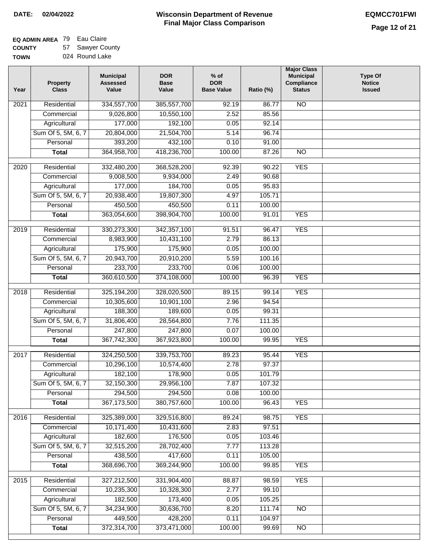#### **EQ ADMIN AREA** 79 Eau Claire **COUNTY** 57 Sawyer County

**TOWN** 024 Round Lake

| Year              | <b>Property</b><br><b>Class</b> | <b>Municipal</b><br><b>Assessed</b><br>Value | <b>DOR</b><br><b>Base</b><br>Value | % of<br><b>DOR</b><br><b>Base Value</b> | Ratio (%) | <b>Major Class</b><br><b>Municipal</b><br>Compliance<br><b>Status</b> | <b>Type Of</b><br><b>Notice</b><br><b>Issued</b> |
|-------------------|---------------------------------|----------------------------------------------|------------------------------------|-----------------------------------------|-----------|-----------------------------------------------------------------------|--------------------------------------------------|
| $\overline{202}1$ | Residential                     | 334,557,700                                  | 385,557,700                        | $\frac{1}{92.19}$                       | 86.77     | <b>NO</b>                                                             |                                                  |
|                   | Commercial                      | 9,026,800                                    | 10,550,100                         | 2.52                                    | 85.56     |                                                                       |                                                  |
|                   | Agricultural                    | 177,000                                      | 192,100                            | 0.05                                    | 92.14     |                                                                       |                                                  |
|                   | Sum Of 5, 5M, 6, 7              | 20,804,000                                   | 21,504,700                         | 5.14                                    | 96.74     |                                                                       |                                                  |
|                   | Personal                        | 393,200                                      | 432,100                            | 0.10                                    | 91.00     |                                                                       |                                                  |
|                   | <b>Total</b>                    | 364,958,700                                  | 418,236,700                        | 100.00                                  | 87.26     | $\overline{NO}$                                                       |                                                  |
| $\overline{2020}$ | Residential                     | 332,480,200                                  | 368,528,200                        | 92.39                                   | 90.22     | <b>YES</b>                                                            |                                                  |
|                   | Commercial                      | 9,008,500                                    | 9,934,000                          | 2.49                                    | 90.68     |                                                                       |                                                  |
|                   | Agricultural                    | 177,000                                      | 184,700                            | 0.05                                    | 95.83     |                                                                       |                                                  |
|                   | Sum Of 5, 5M, 6, 7              | 20,938,400                                   | 19,807,300                         | 4.97                                    | 105.71    |                                                                       |                                                  |
|                   | Personal                        | 450,500                                      | 450,500                            | 0.11                                    | 100.00    |                                                                       |                                                  |
|                   | <b>Total</b>                    | 363,054,600                                  | 398,904,700                        | 100.00                                  | 91.01     | <b>YES</b>                                                            |                                                  |
|                   |                                 |                                              |                                    |                                         |           |                                                                       |                                                  |
| 2019              | Residential                     | 330,273,300                                  | 342,357,100                        | 91.51                                   | 96.47     | <b>YES</b>                                                            |                                                  |
|                   | Commercial                      | 8,983,900                                    | 10,431,100                         | 2.79                                    | 86.13     |                                                                       |                                                  |
|                   | Agricultural                    | 175,900                                      | 175,900                            | 0.05                                    | 100.00    |                                                                       |                                                  |
|                   | Sum Of 5, 5M, 6, 7              | 20,943,700                                   | 20,910,200                         | 5.59                                    | 100.16    |                                                                       |                                                  |
|                   | Personal                        | 233,700                                      | 233,700                            | 0.06                                    | 100.00    |                                                                       |                                                  |
|                   | <b>Total</b>                    | 360,610,500                                  | 374,108,000                        | 100.00                                  | 96.39     | <b>YES</b>                                                            |                                                  |
| 2018              | Residential                     | 325,194,200                                  | 328,020,500                        | 89.15                                   | 99.14     | <b>YES</b>                                                            |                                                  |
|                   | Commercial                      | 10,305,600                                   | 10,901,100                         | 2.96                                    | 94.54     |                                                                       |                                                  |
|                   | Agricultural                    | 188,300                                      | 189,600                            | 0.05                                    | 99.31     |                                                                       |                                                  |
|                   | Sum Of 5, 5M, 6, 7              | 31,806,400                                   | 28,564,800                         | 7.76                                    | 111.35    |                                                                       |                                                  |
|                   | Personal                        | 247,800                                      | 247,800                            | 0.07                                    | 100.00    |                                                                       |                                                  |
|                   | <b>Total</b>                    | 367,742,300                                  | 367,923,800                        | 100.00                                  | 99.95     | <b>YES</b>                                                            |                                                  |
| 2017              | Residential                     | 324,250,500                                  | 339,753,700                        | 89.23                                   | 95.44     | <b>YES</b>                                                            |                                                  |
|                   | Commercial                      | 10,296,100                                   | 10,574,400                         | 2.78                                    | 97.37     |                                                                       |                                                  |
|                   | Agricultural                    | 182,100                                      | 178,900                            | 0.05                                    | 101.79    |                                                                       |                                                  |
|                   | Sum Of 5, 5M, 6, 7              | 32,150,300                                   | 29,956,100                         | 7.87                                    | 107.32    |                                                                       |                                                  |
|                   | Personal                        | 294,500                                      | 294,500                            | 0.08                                    | 100.00    |                                                                       |                                                  |
|                   | <b>Total</b>                    | 367, 173, 500                                | 380,757,600                        | 100.00                                  | 96.43     | <b>YES</b>                                                            |                                                  |
| 2016              | Residential                     | 325,389,000                                  | 329,516,800                        | 89.24                                   | 98.75     | <b>YES</b>                                                            |                                                  |
|                   | Commercial                      | 10,171,400                                   | 10,431,600                         | 2.83                                    | 97.51     |                                                                       |                                                  |
|                   | Agricultural                    | 182,600                                      | 176,500                            | 0.05                                    | 103.46    |                                                                       |                                                  |
|                   | Sum Of 5, 5M, 6, 7              | 32,515,200                                   | 28,702,400                         | 7.77                                    | 113.28    |                                                                       |                                                  |
|                   | Personal                        | 438,500                                      | 417,600                            | 0.11                                    | 105.00    |                                                                       |                                                  |
|                   | <b>Total</b>                    | 368,696,700                                  | 369,244,900                        | 100.00                                  | 99.85     | <b>YES</b>                                                            |                                                  |
| 2015              | Residential                     | 327,212,500                                  | 331,904,400                        | 88.87                                   | 98.59     | <b>YES</b>                                                            |                                                  |
|                   | Commercial                      | 10,235,300                                   | 10,328,300                         | 2.77                                    | 99.10     |                                                                       |                                                  |
|                   | Agricultural                    | 182,500                                      | 173,400                            | 0.05                                    | 105.25    |                                                                       |                                                  |
|                   | Sum Of 5, 5M, 6, 7              | 34,234,900                                   | 30,636,700                         | 8.20                                    | 111.74    | $\overline{NO}$                                                       |                                                  |
|                   | Personal                        | 449,500                                      | 428,200                            | 0.11                                    | 104.97    |                                                                       |                                                  |
|                   | <b>Total</b>                    | 372,314,700                                  | 373,471,000                        | 100.00                                  | 99.69     | N <sub>O</sub>                                                        |                                                  |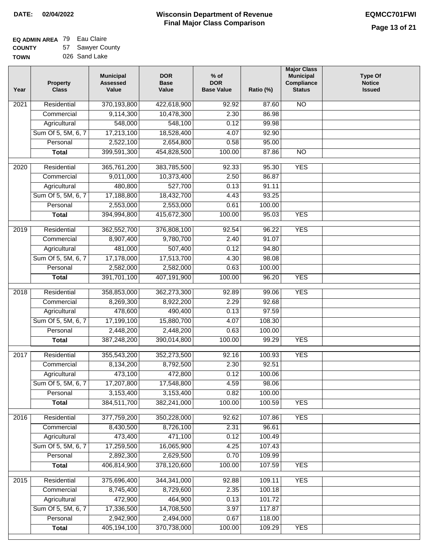#### **EQ ADMIN AREA** 79 Eau Claire **COUNTY** 57 Sawyer County

**TOWN** 026 Sand Lake

| Year | <b>Property</b><br><b>Class</b> | <b>Municipal</b><br><b>Assessed</b><br>Value | <b>DOR</b><br><b>Base</b><br>Value | $%$ of<br><b>DOR</b><br><b>Base Value</b> | Ratio (%) | <b>Major Class</b><br><b>Municipal</b><br>Compliance<br><b>Status</b> | <b>Type Of</b><br><b>Notice</b><br><b>Issued</b> |
|------|---------------------------------|----------------------------------------------|------------------------------------|-------------------------------------------|-----------|-----------------------------------------------------------------------|--------------------------------------------------|
| 2021 | Residential                     | 370,193,800                                  | 422,618,900                        | 92.92                                     | 87.60     | <b>NO</b>                                                             |                                                  |
|      | Commercial                      | 9,114,300                                    | 10,478,300                         | 2.30                                      | 86.98     |                                                                       |                                                  |
|      | Agricultural                    | 548,000                                      | 548,100                            | 0.12                                      | 99.98     |                                                                       |                                                  |
|      | Sum Of 5, 5M, 6, 7              | 17,213,100                                   | 18,528,400                         | 4.07                                      | 92.90     |                                                                       |                                                  |
|      | Personal                        | 2,522,100                                    | 2,654,800                          | 0.58                                      | 95.00     |                                                                       |                                                  |
|      | <b>Total</b>                    | 399,591,300                                  | 454,828,500                        | 100.00                                    | 87.86     | $\overline{NO}$                                                       |                                                  |
| 2020 | Residential                     | 365,761,200                                  | 383,785,500                        | 92.33                                     | 95.30     | <b>YES</b>                                                            |                                                  |
|      | Commercial                      | 9,011,000                                    | 10,373,400                         | 2.50                                      | 86.87     |                                                                       |                                                  |
|      | Agricultural                    | 480,800                                      | 527,700                            | 0.13                                      | 91.11     |                                                                       |                                                  |
|      | Sum Of 5, 5M, 6, 7              | 17,188,800                                   | 18,432,700                         | 4.43                                      | 93.25     |                                                                       |                                                  |
|      | Personal                        | 2,553,000                                    | 2,553,000                          | 0.61                                      | 100.00    |                                                                       |                                                  |
|      | <b>Total</b>                    | 394,994,800                                  | 415,672,300                        | 100.00                                    | 95.03     | <b>YES</b>                                                            |                                                  |
|      |                                 |                                              |                                    |                                           |           |                                                                       |                                                  |
| 2019 | Residential                     | 362,552,700                                  | 376,808,100                        | 92.54                                     | 96.22     | <b>YES</b>                                                            |                                                  |
|      | Commercial                      | 8,907,400                                    | 9,780,700                          | 2.40                                      | 91.07     |                                                                       |                                                  |
|      | Agricultural                    | 481,000                                      | 507,400                            | 0.12                                      | 94.80     |                                                                       |                                                  |
|      | Sum Of 5, 5M, 6, 7              | 17,178,000                                   | 17,513,700                         | 4.30                                      | 98.08     |                                                                       |                                                  |
|      | Personal                        | 2,582,000                                    | 2,582,000                          | 0.63                                      | 100.00    |                                                                       |                                                  |
|      | <b>Total</b>                    | 391,701,100                                  | 407,191,900                        | 100.00                                    | 96.20     | <b>YES</b>                                                            |                                                  |
| 2018 | Residential                     | 358,853,000                                  | 362,273,300                        | 92.89                                     | 99.06     | <b>YES</b>                                                            |                                                  |
|      | Commercial                      | 8,269,300                                    | 8,922,200                          | 2.29                                      | 92.68     |                                                                       |                                                  |
|      | Agricultural                    | 478,600                                      | 490,400                            | 0.13                                      | 97.59     |                                                                       |                                                  |
|      | Sum Of 5, 5M, 6, 7              | 17,199,100                                   | 15,880,700                         | 4.07                                      | 108.30    |                                                                       |                                                  |
|      | Personal                        | 2,448,200                                    | 2,448,200                          | 0.63                                      | 100.00    |                                                                       |                                                  |
|      | <b>Total</b>                    | 387,248,200                                  | 390,014,800                        | 100.00                                    | 99.29     | <b>YES</b>                                                            |                                                  |
| 2017 | Residential                     | 355,543,200                                  | 352,273,500                        | 92.16                                     | 100.93    | <b>YES</b>                                                            |                                                  |
|      | Commercial                      | 8,134,200                                    | 8,792,500                          | 2.30                                      | 92.51     |                                                                       |                                                  |
|      | Agricultural                    | 473,100                                      | 472,800                            | 0.12                                      | 100.06    |                                                                       |                                                  |
|      | Sum Of 5, 5M, 6, 7              | 17,207,800                                   | 17,548,800                         | 4.59                                      | 98.06     |                                                                       |                                                  |
|      | Personal                        | 3,153,400                                    | 3,153,400                          | 0.82                                      | 100.00    |                                                                       |                                                  |
|      | <b>Total</b>                    | 384,511,700                                  | 382,241,000                        | 100.00                                    | 100.59    | <b>YES</b>                                                            |                                                  |
|      |                                 |                                              |                                    |                                           |           |                                                                       |                                                  |
| 2016 | Residential                     | 377,759,200                                  | 350,228,000                        | 92.62                                     | 107.86    | <b>YES</b>                                                            |                                                  |
|      | Commercial                      | 8,430,500                                    | 8,726,100                          | 2.31                                      | 96.61     |                                                                       |                                                  |
|      | Agricultural                    | 473,400                                      | 471,100                            | 0.12                                      | 100.49    |                                                                       |                                                  |
|      | Sum Of 5, 5M, 6, 7              | 17,259,500                                   | 16,065,900                         | 4.25                                      | 107.43    |                                                                       |                                                  |
|      | Personal                        | 2,892,300<br>406,814,900                     | 2,629,500                          | 0.70                                      | 109.99    |                                                                       |                                                  |
|      | <b>Total</b>                    |                                              | 378,120,600                        | 100.00                                    | 107.59    | <b>YES</b>                                                            |                                                  |
| 2015 | Residential                     | 375,696,400                                  | 344, 341, 000                      | 92.88                                     | 109.11    | <b>YES</b>                                                            |                                                  |
|      | Commercial                      | 8,745,400                                    | 8,729,600                          | 2.35                                      | 100.18    |                                                                       |                                                  |
|      | Agricultural                    | 472,900                                      | 464,900                            | 0.13                                      | 101.72    |                                                                       |                                                  |
|      | Sum Of 5, 5M, 6, 7              | 17,336,500                                   | 14,708,500                         | 3.97                                      | 117.87    |                                                                       |                                                  |
|      | Personal                        | 2,942,900                                    | 2,494,000                          | 0.67                                      | 118.00    |                                                                       |                                                  |
|      | <b>Total</b>                    | 405,194,100                                  | 370,738,000                        | 100.00                                    | 109.29    | <b>YES</b>                                                            |                                                  |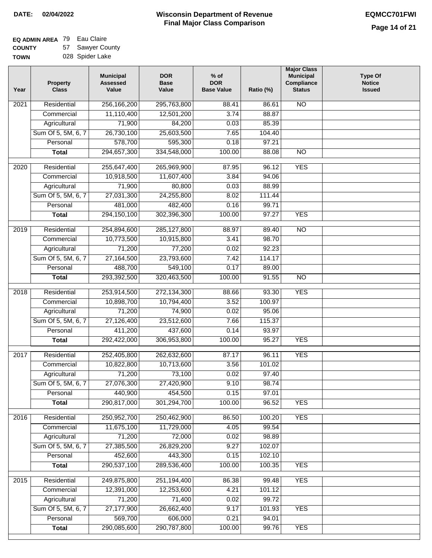#### **EQ ADMIN AREA** 79 Eau Claire **COUNTY** 57 Sawyer County

**TOWN** 028 Spider Lake

| Year              | <b>Property</b><br><b>Class</b> | <b>Municipal</b><br><b>Assessed</b><br>Value | <b>DOR</b><br><b>Base</b><br>Value | $%$ of<br><b>DOR</b><br><b>Base Value</b> | Ratio (%)        | <b>Major Class</b><br><b>Municipal</b><br>Compliance<br><b>Status</b> | <b>Type Of</b><br><b>Notice</b><br><b>Issued</b> |
|-------------------|---------------------------------|----------------------------------------------|------------------------------------|-------------------------------------------|------------------|-----------------------------------------------------------------------|--------------------------------------------------|
| $\overline{202}1$ | Residential                     | 256,166,200                                  | 295,763,800                        | 88.41                                     | 86.61            | <b>NO</b>                                                             |                                                  |
|                   | Commercial                      | 11,110,400                                   | 12,501,200                         | 3.74                                      | 88.87            |                                                                       |                                                  |
|                   | Agricultural                    | 71,900                                       | 84,200                             | 0.03                                      | 85.39            |                                                                       |                                                  |
|                   | Sum Of 5, 5M, 6, 7              | 26,730,100                                   | 25,603,500                         | 7.65                                      | 104.40           |                                                                       |                                                  |
|                   | Personal                        | 578,700                                      | 595,300                            | 0.18                                      | 97.21            |                                                                       |                                                  |
|                   | <b>Total</b>                    | 294,657,300                                  | 334,548,000                        | 100.00                                    | 88.08            | $\overline{NO}$                                                       |                                                  |
| 2020              | Residential                     | 255,647,400                                  | 265,969,900                        | 87.95                                     | 96.12            | <b>YES</b>                                                            |                                                  |
|                   | Commercial                      | 10,918,500                                   | 11,607,400                         | 3.84                                      | 94.06            |                                                                       |                                                  |
|                   | Agricultural                    | 71,900                                       | 80,800                             | 0.03                                      | 88.99            |                                                                       |                                                  |
|                   | Sum Of 5, 5M, 6, 7              | 27,031,300                                   | 24,255,800                         | 8.02                                      | 111.44           |                                                                       |                                                  |
|                   | Personal                        | 481,000                                      | 482,400                            | 0.16                                      | 99.71            |                                                                       |                                                  |
|                   | <b>Total</b>                    | 294,150,100                                  | 302,396,300                        | 100.00                                    | 97.27            | <b>YES</b>                                                            |                                                  |
|                   |                                 |                                              |                                    |                                           |                  |                                                                       |                                                  |
| 2019              | Residential                     | 254,894,600                                  | 285,127,800                        | 88.97                                     | 89.40            | $\overline{3}$                                                        |                                                  |
|                   | Commercial                      | 10,773,500                                   | 10,915,800                         | 3.41                                      | 98.70            |                                                                       |                                                  |
|                   | Agricultural                    | 71,200                                       | 77,200                             | 0.02                                      | 92.23            |                                                                       |                                                  |
|                   | Sum Of 5, 5M, 6, 7              | 27,164,500                                   | 23,793,600                         | 7.42                                      | 114.17           |                                                                       |                                                  |
|                   | Personal                        | 488,700                                      | 549,100                            | 0.17                                      | 89.00            |                                                                       |                                                  |
|                   | <b>Total</b>                    | 293,392,500                                  | 320,463,500                        | 100.00                                    | 91.55            | $\overline{NO}$                                                       |                                                  |
| 2018              | Residential                     | 253,914,500                                  | 272,134,300                        | 88.66                                     | 93.30            | <b>YES</b>                                                            |                                                  |
|                   | Commercial                      | 10,898,700                                   | 10,794,400                         | 3.52                                      | 100.97           |                                                                       |                                                  |
|                   | Agricultural                    | 71,200                                       | 74,900                             | 0.02                                      | 95.06            |                                                                       |                                                  |
|                   | Sum Of 5, 5M, 6, 7              | 27,126,400                                   | 23,512,600                         | 7.66                                      | 115.37           |                                                                       |                                                  |
|                   | Personal                        | 411,200                                      | 437,600                            | 0.14                                      | 93.97            |                                                                       |                                                  |
|                   | <b>Total</b>                    | 292,422,000                                  | 306,953,800                        | 100.00                                    | 95.27            | <b>YES</b>                                                            |                                                  |
| 2017              | Residential                     | 252,405,800                                  | 262,632,600                        | 87.17                                     | 96.11            | <b>YES</b>                                                            |                                                  |
|                   | Commercial                      | 10,822,800                                   | 10,713,600                         | 3.56                                      | 101.02           |                                                                       |                                                  |
|                   | Agricultural                    | 71,200                                       | 73,100                             | 0.02                                      | 97.40            |                                                                       |                                                  |
|                   | Sum Of 5, 5M, 6, 7              | 27,076,300                                   | 27,420,900                         | 9.10                                      | 98.74            |                                                                       |                                                  |
|                   | Personal                        | 440,900                                      | 454,500                            | 0.15                                      | 97.01            |                                                                       |                                                  |
|                   | <b>Total</b>                    | 290,817,000                                  | 301,294,700                        | 100.00                                    | 96.52            | <b>YES</b>                                                            |                                                  |
|                   |                                 |                                              |                                    |                                           |                  |                                                                       |                                                  |
| 2016              | Residential                     | 250,952,700                                  | 250,462,900                        | 86.50                                     | 100.20           | <b>YES</b>                                                            |                                                  |
|                   | Commercial                      | 11,675,100                                   | 11,729,000                         | 4.05                                      | 99.54            |                                                                       |                                                  |
|                   | Agricultural                    | 71,200                                       | 72,000                             | 0.02                                      | 98.89            |                                                                       |                                                  |
|                   | Sum Of 5, 5M, 6, 7              | 27,385,500                                   | 26,829,200                         | 9.27                                      | 102.07           |                                                                       |                                                  |
|                   | Personal                        | 452,600                                      | 443,300                            | 0.15                                      | 102.10<br>100.35 |                                                                       |                                                  |
|                   | <b>Total</b>                    | 290,537,100                                  | 289,536,400                        | 100.00                                    |                  | <b>YES</b>                                                            |                                                  |
| 2015              | Residential                     | 249,875,800                                  | 251,194,400                        | 86.38                                     | 99.48            | <b>YES</b>                                                            |                                                  |
|                   | Commercial                      | 12,391,000                                   | 12,253,600                         | 4.21                                      | 101.12           |                                                                       |                                                  |
|                   | Agricultural                    | 71,200                                       | 71,400                             | 0.02                                      | 99.72            |                                                                       |                                                  |
|                   | Sum Of 5, 5M, 6, 7              | 27,177,900                                   | 26,662,400                         | 9.17                                      | 101.93           | <b>YES</b>                                                            |                                                  |
|                   | Personal                        | 569,700                                      | 606,000                            | 0.21                                      | 94.01            |                                                                       |                                                  |
|                   | <b>Total</b>                    | 290,085,600                                  | 290,787,800                        | 100.00                                    | 99.76            | <b>YES</b>                                                            |                                                  |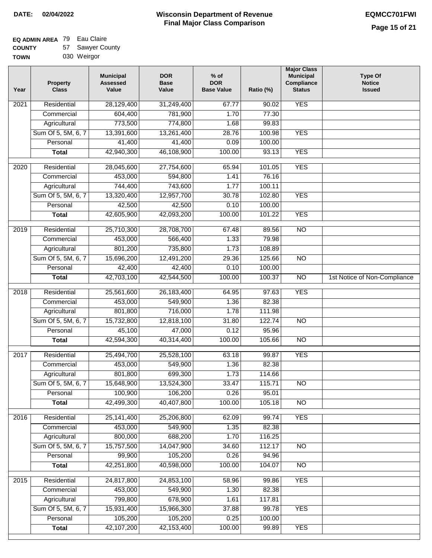#### **EQ ADMIN AREA** 79 Eau Claire **COUNTY**  $\overline{r}$

| <b>COUNTY</b> | 57 Sawyer County |
|---------------|------------------|
| <b>TOWN</b>   | 030 Weirgor      |

| Year | <b>Property</b><br><b>Class</b> | <b>Municipal</b><br><b>Assessed</b><br>Value | <b>DOR</b><br><b>Base</b><br>Value | $%$ of<br><b>DOR</b><br><b>Base Value</b> | Ratio (%) | <b>Major Class</b><br><b>Municipal</b><br>Compliance<br><b>Status</b> | <b>Type Of</b><br><b>Notice</b><br><b>Issued</b> |
|------|---------------------------------|----------------------------------------------|------------------------------------|-------------------------------------------|-----------|-----------------------------------------------------------------------|--------------------------------------------------|
| 2021 | Residential                     | 28,129,400                                   | 31,249,400                         | 67.77                                     | 90.02     | <b>YES</b>                                                            |                                                  |
|      | Commercial                      | 604,400                                      | 781,900                            | 1.70                                      | 77.30     |                                                                       |                                                  |
|      | Agricultural                    | 773,500                                      | 774,800                            | 1.68                                      | 99.83     |                                                                       |                                                  |
|      | Sum Of 5, 5M, 6, 7              | 13,391,600                                   | 13,261,400                         | 28.76                                     | 100.98    | <b>YES</b>                                                            |                                                  |
|      | Personal                        | 41,400                                       | 41,400                             | 0.09                                      | 100.00    |                                                                       |                                                  |
|      | <b>Total</b>                    | 42,940,300                                   | 46,108,900                         | 100.00                                    | 93.13     | <b>YES</b>                                                            |                                                  |
| 2020 | Residential                     | 28,045,600                                   | 27,754,600                         | 65.94                                     | 101.05    | <b>YES</b>                                                            |                                                  |
|      | Commercial                      | 453,000                                      | 594,800                            | 1.41                                      | 76.16     |                                                                       |                                                  |
|      | Agricultural                    | 744,400                                      | 743,600                            | 1.77                                      | 100.11    |                                                                       |                                                  |
|      | Sum Of 5, 5M, 6, 7              | 13,320,400                                   | 12,957,700                         | 30.78                                     | 102.80    | <b>YES</b>                                                            |                                                  |
|      | Personal                        | 42,500                                       | 42,500                             | 0.10                                      | 100.00    |                                                                       |                                                  |
|      | <b>Total</b>                    | 42,605,900                                   | 42,093,200                         | 100.00                                    | 101.22    | <b>YES</b>                                                            |                                                  |
| 2019 | Residential                     | 25,710,300                                   |                                    | 67.48                                     | 89.56     | $\overline{10}$                                                       |                                                  |
|      | Commercial                      | 453,000                                      | 28,708,700<br>566,400              | 1.33                                      | 79.98     |                                                                       |                                                  |
|      |                                 |                                              |                                    |                                           | 108.89    |                                                                       |                                                  |
|      | Agricultural                    | 801,200                                      | 735,800                            | 1.73                                      |           |                                                                       |                                                  |
|      | Sum Of 5, 5M, 6, 7              | 15,696,200                                   | 12,491,200                         | 29.36                                     | 125.66    | $\overline{NO}$                                                       |                                                  |
|      | Personal                        | 42,400                                       | 42,400                             | 0.10                                      | 100.00    |                                                                       |                                                  |
|      | <b>Total</b>                    | 42,703,100                                   | 42,544,500                         | 100.00                                    | 100.37    | $\overline{NO}$                                                       | 1st Notice of Non-Compliance                     |
| 2018 | Residential                     | 25,561,600                                   | 26,183,400                         | 64.95                                     | 97.63     | <b>YES</b>                                                            |                                                  |
|      | Commercial                      | 453,000                                      | 549,900                            | 1.36                                      | 82.38     |                                                                       |                                                  |
|      | Agricultural                    | 801,800                                      | 716,000                            | 1.78                                      | 111.98    |                                                                       |                                                  |
|      | Sum Of 5, 5M, 6, 7              | 15,732,800                                   | 12,818,100                         | 31.80                                     | 122.74    | $\overline{10}$                                                       |                                                  |
|      | Personal                        | 45,100                                       | 47,000                             | 0.12                                      | 95.96     |                                                                       |                                                  |
|      | <b>Total</b>                    | 42,594,300                                   | 40,314,400                         | 100.00                                    | 105.66    | <b>NO</b>                                                             |                                                  |
| 2017 | Residential                     | 25,494,700                                   | 25,528,100                         | 63.18                                     | 99.87     | <b>YES</b>                                                            |                                                  |
|      | Commercial                      | 453,000                                      | 549,900                            | 1.36                                      | 82.38     |                                                                       |                                                  |
|      | Agricultural                    | 801,800                                      | 699,300                            | 1.73                                      | 114.66    |                                                                       |                                                  |
|      | Sum Of 5, 5M, 6, 7              | 15,648,900                                   | 13,524,300                         | 33.47                                     | 115.71    | <b>NO</b>                                                             |                                                  |
|      | Personal                        | 100,900                                      | 106,200                            | 0.26                                      | 95.01     |                                                                       |                                                  |
|      | <b>Total</b>                    | 42,499,300                                   | 40,407,800                         | 100.00                                    | 105.18    | <b>NO</b>                                                             |                                                  |
| 2016 | Residential                     | 25, 141, 400                                 | 25,206,800                         | 62.09                                     | 99.74     | <b>YES</b>                                                            |                                                  |
|      | Commercial                      | 453,000                                      | 549,900                            | 1.35                                      | 82.38     |                                                                       |                                                  |
|      | Agricultural                    | 800,000                                      | 688,200                            | 1.70                                      | 116.25    |                                                                       |                                                  |
|      | Sum Of 5, 5M, 6, 7              | 15,757,500                                   | 14,047,900                         | 34.60                                     | 112.17    | N <sub>O</sub>                                                        |                                                  |
|      | Personal                        | 99,900                                       | 105,200                            | 0.26                                      | 94.96     |                                                                       |                                                  |
|      | <b>Total</b>                    | 42,251,800                                   | 40,598,000                         | 100.00                                    | 104.07    | N <sub>O</sub>                                                        |                                                  |
|      |                                 |                                              |                                    |                                           |           |                                                                       |                                                  |
| 2015 | Residential                     | 24,817,800                                   | 24,853,100                         | 58.96                                     | 99.86     | <b>YES</b>                                                            |                                                  |
|      | Commercial                      | 453,000                                      | 549,900                            | 1.30                                      | 82.38     |                                                                       |                                                  |
|      | Agricultural                    | 799,800                                      | 678,900                            | 1.61                                      | 117.81    |                                                                       |                                                  |
|      | Sum Of 5, 5M, 6, 7              | 15,931,400                                   | 15,966,300                         | 37.88                                     | 99.78     | <b>YES</b>                                                            |                                                  |
|      | Personal                        | 105,200                                      | 105,200                            | 0.25                                      | 100.00    |                                                                       |                                                  |
|      | <b>Total</b>                    | 42,107,200                                   | 42,153,400                         | 100.00                                    | 99.89     | <b>YES</b>                                                            |                                                  |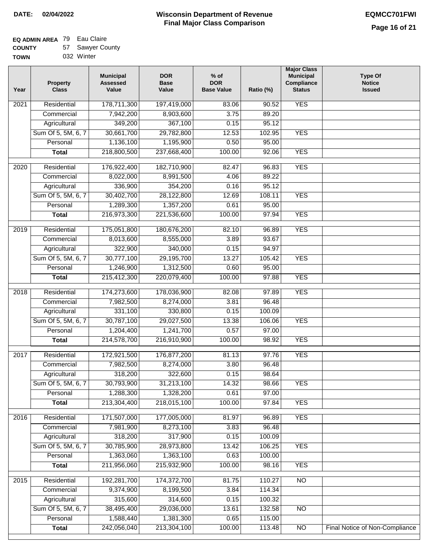#### **Wisconsin Department of Revenue Final Major Class Comparison DATE: 02/04/2022 EQMCC701FWI**

#### **EQ ADMIN AREA** 79 Eau Claire **COUNTY** 57 Sawyer County

| <b>COUNT</b> | IJΙ | Jawyei Cuu |  |
|--------------|-----|------------|--|
| <b>TOWN</b>  |     | 032 Winter |  |

| Year              | <b>Property</b><br><b>Class</b> | <b>Municipal</b><br><b>Assessed</b><br>Value | <b>DOR</b><br><b>Base</b><br>Value | $%$ of<br><b>DOR</b><br><b>Base Value</b> | Ratio (%) | <b>Major Class</b><br><b>Municipal</b><br>Compliance<br><b>Status</b> | <b>Type Of</b><br><b>Notice</b><br><b>Issued</b> |
|-------------------|---------------------------------|----------------------------------------------|------------------------------------|-------------------------------------------|-----------|-----------------------------------------------------------------------|--------------------------------------------------|
| 2021              | Residential                     | 178,711,300                                  | 197,419,000                        | 83.06                                     | 90.52     | <b>YES</b>                                                            |                                                  |
|                   | Commercial                      | 7,942,200                                    | 8,903,600                          | 3.75                                      | 89.20     |                                                                       |                                                  |
|                   | Agricultural                    | 349,200                                      | 367,100                            | 0.15                                      | 95.12     |                                                                       |                                                  |
|                   | Sum Of 5, 5M, 6, 7              | 30,661,700                                   | 29,782,800                         | 12.53                                     | 102.95    | <b>YES</b>                                                            |                                                  |
|                   | Personal                        | 1,136,100                                    | 1,195,900                          | 0.50                                      | 95.00     |                                                                       |                                                  |
|                   | <b>Total</b>                    | 218,800,500                                  | 237,668,400                        | 100.00                                    | 92.06     | <b>YES</b>                                                            |                                                  |
| $\overline{2020}$ | Residential                     | 176,922,400                                  | 182,710,900                        | 82.47                                     | 96.83     | <b>YES</b>                                                            |                                                  |
|                   | Commercial                      | 8,022,000                                    | 8,991,500                          | 4.06                                      | 89.22     |                                                                       |                                                  |
|                   | Agricultural                    | 336,900                                      | 354,200                            | 0.16                                      | 95.12     |                                                                       |                                                  |
|                   | Sum Of 5, 5M, 6, 7              | 30,402,700                                   | 28,122,800                         | 12.69                                     | 108.11    | <b>YES</b>                                                            |                                                  |
|                   | Personal                        | 1,289,300                                    | 1,357,200                          | 0.61                                      | 95.00     |                                                                       |                                                  |
|                   | <b>Total</b>                    | 216,973,300                                  | 221,536,600                        | 100.00                                    | 97.94     | <b>YES</b>                                                            |                                                  |
|                   |                                 |                                              |                                    |                                           |           |                                                                       |                                                  |
| $\frac{2019}{ }$  | Residential                     | 175,051,800                                  | 180,676,200                        | 82.10                                     | 96.89     | <b>YES</b>                                                            |                                                  |
|                   | Commercial                      | 8,013,600                                    | 8,555,000                          | 3.89                                      | 93.67     |                                                                       |                                                  |
|                   | Agricultural                    | 322,900                                      | 340,000                            | 0.15                                      | 94.97     |                                                                       |                                                  |
|                   | Sum Of 5, 5M, 6, 7              | 30,777,100                                   | 29,195,700                         | 13.27                                     | 105.42    | <b>YES</b>                                                            |                                                  |
|                   | Personal                        | 1,246,900                                    | 1,312,500                          | 0.60                                      | 95.00     |                                                                       |                                                  |
|                   | <b>Total</b>                    | 215,412,300                                  | 220,079,400                        | 100.00                                    | 97.88     | <b>YES</b>                                                            |                                                  |
| 2018              | Residential                     | 174,273,600                                  | 178,036,900                        | 82.08                                     | 97.89     | <b>YES</b>                                                            |                                                  |
|                   | Commercial                      | 7,982,500                                    | 8,274,000                          | 3.81                                      | 96.48     |                                                                       |                                                  |
|                   | Agricultural                    | 331,100                                      | 330,800                            | 0.15                                      | 100.09    |                                                                       |                                                  |
|                   | Sum Of 5, 5M, 6, 7              | 30,787,100                                   | 29,027,500                         | 13.38                                     | 106.06    | <b>YES</b>                                                            |                                                  |
|                   | Personal                        | 1,204,400                                    | 1,241,700                          | 0.57                                      | 97.00     |                                                                       |                                                  |
|                   | <b>Total</b>                    | 214,578,700                                  | 216,910,900                        | 100.00                                    | 98.92     | <b>YES</b>                                                            |                                                  |
| 2017              | Residential                     | 172,921,500                                  | 176,877,200                        | 81.13                                     | 97.76     | <b>YES</b>                                                            |                                                  |
|                   | Commercial                      | 7,982,500                                    | 8,274,000                          | 3.80                                      | 96.48     |                                                                       |                                                  |
|                   | Agricultural                    | 318,200                                      | 322,600                            | 0.15                                      | 98.64     |                                                                       |                                                  |
|                   | Sum Of 5, 5M, 6, 7              | 30,793,900                                   | 31,213,100                         | 14.32                                     | 98.66     | <b>YES</b>                                                            |                                                  |
|                   | Personal                        | 1,288,300                                    | 1,328,200                          | 0.61                                      | 97.00     |                                                                       |                                                  |
|                   | <b>Total</b>                    | 213,304,400                                  | 218,015,100                        | 100.00                                    | 97.84     | <b>YES</b>                                                            |                                                  |
| 2016              | Residential                     | 171,507,000                                  | 177,005,000                        | 81.97                                     | 96.89     | <b>YES</b>                                                            |                                                  |
|                   | Commercial                      | 7,981,900                                    | 8,273,100                          | 3.83                                      | 96.48     |                                                                       |                                                  |
|                   | Agricultural                    | 318,200                                      | 317,900                            | 0.15                                      | 100.09    |                                                                       |                                                  |
|                   | Sum Of 5, 5M, 6, 7              | 30,785,900                                   | 28,973,800                         | 13.42                                     | 106.25    | <b>YES</b>                                                            |                                                  |
|                   | Personal                        | 1,363,060                                    | 1,363,100                          | 0.63                                      | 100.00    |                                                                       |                                                  |
|                   | <b>Total</b>                    | 211,956,060                                  | 215,932,900                        | 100.00                                    | 98.16     | <b>YES</b>                                                            |                                                  |
| 2015              | Residential                     | 192,281,700                                  | 174,372,700                        | 81.75                                     | 110.27    | $\overline{NO}$                                                       |                                                  |
|                   | Commercial                      | 9,374,900                                    | 8,199,500                          | 3.84                                      | 114.34    |                                                                       |                                                  |
|                   | Agricultural                    | 315,600                                      | 314,600                            | 0.15                                      | 100.32    |                                                                       |                                                  |
|                   | Sum Of 5, 5M, 6, 7              | 38,495,400                                   | 29,036,000                         | 13.61                                     | 132.58    | NO                                                                    |                                                  |
|                   | Personal                        | 1,588,440                                    | 1,381,300                          | 0.65                                      | 115.00    |                                                                       |                                                  |
|                   | <b>Total</b>                    | 242,056,040                                  | 213,304,100                        | 100.00                                    | 113.48    | $\overline{NO}$                                                       | Final Notice of Non-Compliance                   |
|                   |                                 |                                              |                                    |                                           |           |                                                                       |                                                  |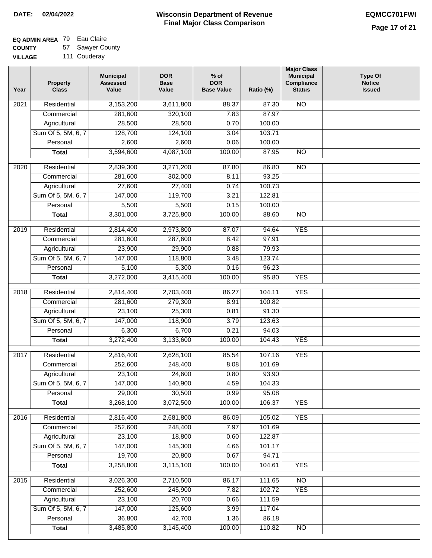### **EQ ADMIN AREA** 79 Eau Claire

**COUNTY VILLAGE** 57 Sawyer County

111 Couderay

| Year | <b>Property</b><br><b>Class</b> | <b>Municipal</b><br><b>Assessed</b><br>Value | <b>DOR</b><br><b>Base</b><br>Value | $%$ of<br><b>DOR</b><br><b>Base Value</b> | Ratio (%) | <b>Major Class</b><br><b>Municipal</b><br>Compliance<br><b>Status</b> | <b>Type Of</b><br><b>Notice</b><br><b>Issued</b> |
|------|---------------------------------|----------------------------------------------|------------------------------------|-------------------------------------------|-----------|-----------------------------------------------------------------------|--------------------------------------------------|
| 2021 | Residential                     | 3,153,200                                    | 3,611,800                          | 88.37                                     | 87.30     | <b>NO</b>                                                             |                                                  |
|      | Commercial                      | 281,600                                      | 320,100                            | 7.83                                      | 87.97     |                                                                       |                                                  |
|      | Agricultural                    | 28,500                                       | 28,500                             | 0.70                                      | 100.00    |                                                                       |                                                  |
|      | Sum Of 5, 5M, 6, 7              | 128,700                                      | 124,100                            | 3.04                                      | 103.71    |                                                                       |                                                  |
|      | Personal                        | 2,600                                        | 2,600                              | 0.06                                      | 100.00    |                                                                       |                                                  |
|      | <b>Total</b>                    | 3,594,600                                    | 4,087,100                          | 100.00                                    | 87.95     | $\overline{NO}$                                                       |                                                  |
| 2020 | Residential                     | 2,839,300                                    | 3,271,200                          | 87.80                                     | 86.80     | $\overline{NO}$                                                       |                                                  |
|      | Commercial                      | 281,600                                      | 302,000                            | 8.11                                      | 93.25     |                                                                       |                                                  |
|      | Agricultural                    | 27,600                                       | 27,400                             | 0.74                                      | 100.73    |                                                                       |                                                  |
|      | Sum Of 5, 5M, 6, 7              | 147,000                                      | 119,700                            | 3.21                                      | 122.81    |                                                                       |                                                  |
|      | Personal                        | 5,500                                        | 5,500                              | 0.15                                      | 100.00    |                                                                       |                                                  |
|      | <b>Total</b>                    | 3,301,000                                    | 3,725,800                          | 100.00                                    | 88.60     | $\overline{NO}$                                                       |                                                  |
| 2019 | Residential                     | 2,814,400                                    | 2,973,800                          | 87.07                                     | 94.64     | <b>YES</b>                                                            |                                                  |
|      | Commercial                      | 281,600                                      | 287,600                            | 8.42                                      | 97.91     |                                                                       |                                                  |
|      | Agricultural                    | 23,900                                       | 29,900                             | 0.88                                      | 79.93     |                                                                       |                                                  |
|      | Sum Of 5, 5M, 6, 7              | 147,000                                      | 118,800                            | 3.48                                      | 123.74    |                                                                       |                                                  |
|      | Personal                        | 5,100                                        | 5,300                              | 0.16                                      | 96.23     |                                                                       |                                                  |
|      | <b>Total</b>                    | 3,272,000                                    | 3,415,400                          | 100.00                                    | 95.80     | <b>YES</b>                                                            |                                                  |
| 2018 | Residential                     | 2,814,400                                    | 2,703,400                          | 86.27                                     | 104.11    | <b>YES</b>                                                            |                                                  |
|      | Commercial                      | 281,600                                      | 279,300                            | 8.91                                      | 100.82    |                                                                       |                                                  |
|      | Agricultural                    | 23,100                                       | 25,300                             | 0.81                                      | 91.30     |                                                                       |                                                  |
|      | Sum Of 5, 5M, 6, 7              | 147,000                                      | 118,900                            | 3.79                                      | 123.63    |                                                                       |                                                  |
|      | Personal                        | 6,300                                        | 6,700                              | 0.21                                      | 94.03     |                                                                       |                                                  |
|      | <b>Total</b>                    | 3,272,400                                    | 3,133,600                          | 100.00                                    | 104.43    | <b>YES</b>                                                            |                                                  |
| 2017 | Residential                     | 2,816,400                                    | 2,628,100                          | 85.54                                     | 107.16    | <b>YES</b>                                                            |                                                  |
|      | Commercial                      | 252,600                                      | 248,400                            | 8.08                                      | 101.69    |                                                                       |                                                  |
|      | Agricultural                    | 23,100                                       | 24,600                             | 0.80                                      | 93.90     |                                                                       |                                                  |
|      | Sum Of 5, 5M, 6, 7              | 147,000                                      | 140,900                            | 4.59                                      | 104.33    |                                                                       |                                                  |
|      | Personal                        | 29,000                                       | 30,500                             | 0.99                                      | 95.08     |                                                                       |                                                  |
|      | <b>Total</b>                    | 3,268,100                                    | 3,072,500                          | 100.00                                    | 106.37    | <b>YES</b>                                                            |                                                  |
| 2016 | Residential                     | 2,816,400                                    | 2,681,800                          | 86.09                                     | 105.02    | <b>YES</b>                                                            |                                                  |
|      | Commercial                      | 252,600                                      | 248,400                            | 7.97                                      | 101.69    |                                                                       |                                                  |
|      | Agricultural                    | 23,100                                       | 18,800                             | 0.60                                      | 122.87    |                                                                       |                                                  |
|      | Sum Of 5, 5M, 6, 7              | 147,000                                      | 145,300                            | 4.66                                      | 101.17    |                                                                       |                                                  |
|      | Personal                        | 19,700                                       | 20,800                             | 0.67                                      | 94.71     |                                                                       |                                                  |
|      | <b>Total</b>                    | 3,258,800                                    | 3,115,100                          | 100.00                                    | 104.61    | <b>YES</b>                                                            |                                                  |
| 2015 | Residential                     | 3,026,300                                    | 2,710,500                          | 86.17                                     | 111.65    | $\overline{NO}$                                                       |                                                  |
|      | Commercial                      | 252,600                                      | 245,900                            | 7.82                                      | 102.72    | <b>YES</b>                                                            |                                                  |
|      | Agricultural                    | 23,100                                       | 20,700                             | 0.66                                      | 111.59    |                                                                       |                                                  |
|      | Sum Of 5, 5M, 6, 7              | 147,000                                      | 125,600                            | 3.99                                      | 117.04    |                                                                       |                                                  |
|      | Personal                        | 36,800                                       | 42,700                             | 1.36                                      | 86.18     |                                                                       |                                                  |
|      | <b>Total</b>                    | 3,485,800                                    | 3,145,400                          | 100.00                                    | 110.82    | NO                                                                    |                                                  |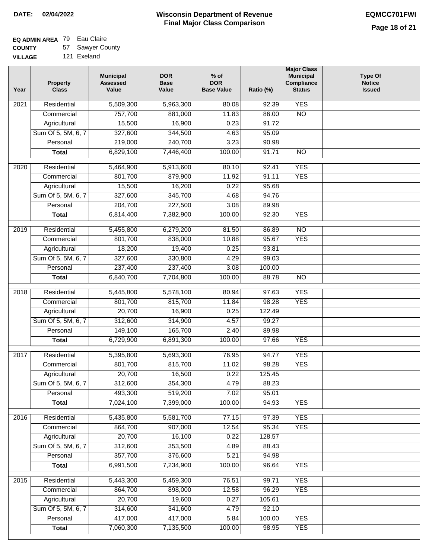# **EQ ADMIN AREA** 79 Eau Claire

**COUNTY VILLAGE** 57 Sawyer County

|  | 121 Exeland |
|--|-------------|
|  |             |

| Year | <b>Property</b><br><b>Class</b> | <b>Municipal</b><br><b>Assessed</b><br>Value | <b>DOR</b><br><b>Base</b><br>Value | $%$ of<br><b>DOR</b><br><b>Base Value</b> | Ratio (%) | <b>Major Class</b><br><b>Municipal</b><br>Compliance<br><b>Status</b> | <b>Type Of</b><br><b>Notice</b><br><b>Issued</b> |
|------|---------------------------------|----------------------------------------------|------------------------------------|-------------------------------------------|-----------|-----------------------------------------------------------------------|--------------------------------------------------|
| 2021 | Residential                     | 5,509,300                                    | 5,963,300                          | 80.08                                     | 92.39     | <b>YES</b>                                                            |                                                  |
|      | Commercial                      | 757,700                                      | 881,000                            | 11.83                                     | 86.00     | $\overline{NO}$                                                       |                                                  |
|      | Agricultural                    | 15,500                                       | 16,900                             | 0.23                                      | 91.72     |                                                                       |                                                  |
|      | Sum Of 5, 5M, 6, 7              | 327,600                                      | 344,500                            | 4.63                                      | 95.09     |                                                                       |                                                  |
|      | Personal                        | 219,000                                      | 240,700                            | 3.23                                      | 90.98     |                                                                       |                                                  |
|      | <b>Total</b>                    | 6,829,100                                    | 7,446,400                          | 100.00                                    | 91.71     | $\overline{NO}$                                                       |                                                  |
| 2020 | Residential                     | 5,464,900                                    | 5,913,600                          | 80.10                                     | 92.41     | <b>YES</b>                                                            |                                                  |
|      | Commercial                      | 801,700                                      | 879,900                            | 11.92                                     | 91.11     | <b>YES</b>                                                            |                                                  |
|      | Agricultural                    | 15,500                                       | 16,200                             | 0.22                                      | 95.68     |                                                                       |                                                  |
|      | Sum Of 5, 5M, 6, 7              | 327,600                                      | 345,700                            | 4.68                                      | 94.76     |                                                                       |                                                  |
|      | Personal                        | 204,700                                      | 227,500                            | 3.08                                      | 89.98     |                                                                       |                                                  |
|      | <b>Total</b>                    | 6,814,400                                    | 7,382,900                          | 100.00                                    | 92.30     | <b>YES</b>                                                            |                                                  |
| 2019 | Residential                     | 5,455,800                                    | 6,279,200                          | 81.50                                     | 86.89     | $\overline{NO}$                                                       |                                                  |
|      | Commercial                      | 801,700                                      | 838,000                            | 10.88                                     | 95.67     | <b>YES</b>                                                            |                                                  |
|      | Agricultural                    | 18,200                                       | 19,400                             | 0.25                                      | 93.81     |                                                                       |                                                  |
|      | Sum Of 5, 5M, 6, 7              | 327,600                                      | 330,800                            | 4.29                                      | 99.03     |                                                                       |                                                  |
|      | Personal                        | 237,400                                      | 237,400                            | 3.08                                      | 100.00    |                                                                       |                                                  |
|      | <b>Total</b>                    | 6,840,700                                    | 7,704,800                          | 100.00                                    | 88.78     | $\overline{NO}$                                                       |                                                  |
|      |                                 |                                              |                                    |                                           |           |                                                                       |                                                  |
| 2018 | Residential                     | 5,445,800                                    | 5,578,100                          | 80.94                                     | 97.63     | <b>YES</b>                                                            |                                                  |
|      | Commercial                      | 801,700                                      | 815,700                            | 11.84                                     | 98.28     | <b>YES</b>                                                            |                                                  |
|      | Agricultural                    | 20,700                                       | 16,900                             | 0.25                                      | 122.49    |                                                                       |                                                  |
|      | Sum Of 5, 5M, 6, 7              | 312,600                                      | 314,900                            | 4.57                                      | 99.27     |                                                                       |                                                  |
|      | Personal                        | 149,100                                      | 165,700                            | 2.40                                      | 89.98     |                                                                       |                                                  |
|      | <b>Total</b>                    | 6,729,900                                    | 6,891,300                          | 100.00                                    | 97.66     | <b>YES</b>                                                            |                                                  |
| 2017 | Residential                     | 5,395,800                                    | 5,693,300                          | 76.95                                     | 94.77     | <b>YES</b>                                                            |                                                  |
|      | Commercial                      | 801,700                                      | 815,700                            | 11.02                                     | 98.28     | <b>YES</b>                                                            |                                                  |
|      | Agricultural                    | 20,700                                       | 16,500                             | 0.22                                      | 125.45    |                                                                       |                                                  |
|      | Sum Of 5, 5M, 6, 7              | 312,600                                      | 354,300                            | 4.79                                      | 88.23     |                                                                       |                                                  |
|      | Personal                        | 493,300                                      | 519,200                            | 7.02                                      | 95.01     |                                                                       |                                                  |
|      | <b>Total</b>                    | 7,024,100                                    | 7,399,000                          | 100.00                                    | 94.93     | <b>YES</b>                                                            |                                                  |
| 2016 | Residential                     | 5,435,800                                    | 5,581,700                          | 77.15                                     | 97.39     | <b>YES</b>                                                            |                                                  |
|      | Commercial                      | 864,700                                      | 907,000                            | 12.54                                     | 95.34     | <b>YES</b>                                                            |                                                  |
|      | Agricultural                    | 20,700                                       | 16,100                             | 0.22                                      | 128.57    |                                                                       |                                                  |
|      | Sum Of 5, 5M, 6, 7              | 312,600                                      | 353,500                            | 4.89                                      | 88.43     |                                                                       |                                                  |
|      | Personal                        | 357,700                                      | 376,600                            | 5.21                                      | 94.98     |                                                                       |                                                  |
|      | <b>Total</b>                    | 6,991,500                                    | 7,234,900                          | 100.00                                    | 96.64     | <b>YES</b>                                                            |                                                  |
| 2015 | Residential                     | 5,443,300                                    | 5,459,300                          | 76.51                                     | 99.71     | <b>YES</b>                                                            |                                                  |
|      | Commercial                      | 864,700                                      | 898,000                            | 12.58                                     | 96.29     | <b>YES</b>                                                            |                                                  |
|      | Agricultural                    | 20,700                                       | 19,600                             | 0.27                                      | 105.61    |                                                                       |                                                  |
|      | Sum Of 5, 5M, 6, 7              | 314,600                                      | 341,600                            | 4.79                                      | 92.10     |                                                                       |                                                  |
|      | Personal                        | 417,000                                      | 417,000                            | 5.84                                      | 100.00    | <b>YES</b>                                                            |                                                  |
|      | <b>Total</b>                    | 7,060,300                                    | 7,135,500                          | 100.00                                    | 98.95     | <b>YES</b>                                                            |                                                  |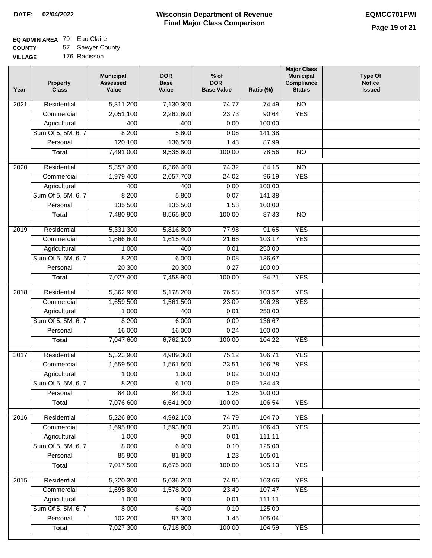## **EQ ADMIN AREA** 79 Eau Claire

**COUNTY VILLAGE** 57 Sawyer County

| 176 Radisson |
|--------------|

| Year | <b>Property</b><br><b>Class</b> | <b>Municipal</b><br><b>Assessed</b><br>Value | <b>DOR</b><br><b>Base</b><br>Value | $%$ of<br><b>DOR</b><br><b>Base Value</b> | Ratio (%) | <b>Major Class</b><br><b>Municipal</b><br>Compliance<br><b>Status</b> | <b>Type Of</b><br><b>Notice</b><br><b>Issued</b> |
|------|---------------------------------|----------------------------------------------|------------------------------------|-------------------------------------------|-----------|-----------------------------------------------------------------------|--------------------------------------------------|
| 2021 | Residential                     | 5,311,200                                    | 7,130,300                          | 74.77                                     | 74.49     | N <sub>O</sub>                                                        |                                                  |
|      | Commercial                      | 2,051,100                                    | 2,262,800                          | 23.73                                     | 90.64     | <b>YES</b>                                                            |                                                  |
|      | Agricultural                    | 400                                          | 400                                | 0.00                                      | 100.00    |                                                                       |                                                  |
|      | Sum Of 5, 5M, 6, 7              | 8,200                                        | 5,800                              | 0.06                                      | 141.38    |                                                                       |                                                  |
|      | Personal                        | 120,100                                      | 136,500                            | 1.43                                      | 87.99     |                                                                       |                                                  |
|      | <b>Total</b>                    | 7,491,000                                    | 9,535,800                          | 100.00                                    | 78.56     | N <sub>O</sub>                                                        |                                                  |
| 2020 | Residential                     | 5,357,400                                    | 6,366,400                          | 74.32                                     | 84.15     | $\overline{10}$                                                       |                                                  |
|      | Commercial                      | 1,979,400                                    | 2,057,700                          | 24.02                                     | 96.19     | <b>YES</b>                                                            |                                                  |
|      | Agricultural                    | 400                                          | 400                                | 0.00                                      | 100.00    |                                                                       |                                                  |
|      | Sum Of 5, 5M, 6, 7              | 8,200                                        | 5,800                              | 0.07                                      | 141.38    |                                                                       |                                                  |
|      | Personal                        | 135,500                                      | 135,500                            | 1.58                                      | 100.00    |                                                                       |                                                  |
|      | <b>Total</b>                    | 7,480,900                                    | 8,565,800                          | 100.00                                    | 87.33     | $\overline{NO}$                                                       |                                                  |
|      |                                 |                                              |                                    |                                           |           |                                                                       |                                                  |
| 2019 | Residential                     | 5,331,300                                    | 5,816,800                          | 77.98                                     | 91.65     | <b>YES</b>                                                            |                                                  |
|      | Commercial                      | 1,666,600                                    | 1,615,400                          | 21.66                                     | 103.17    | <b>YES</b>                                                            |                                                  |
|      | Agricultural                    | 1,000                                        | 400                                | 0.01                                      | 250.00    |                                                                       |                                                  |
|      | Sum Of 5, 5M, 6, 7              | 8,200                                        | 6,000                              | 0.08                                      | 136.67    |                                                                       |                                                  |
|      | Personal                        | 20,300                                       | 20,300                             | 0.27                                      | 100.00    |                                                                       |                                                  |
|      | <b>Total</b>                    | 7,027,400                                    | 7,458,900                          | 100.00                                    | 94.21     | <b>YES</b>                                                            |                                                  |
| 2018 | Residential                     | 5,362,900                                    | 5,178,200                          | 76.58                                     | 103.57    | <b>YES</b>                                                            |                                                  |
|      | Commercial                      | 1,659,500                                    | 1,561,500                          | 23.09                                     | 106.28    | <b>YES</b>                                                            |                                                  |
|      | Agricultural                    | 1,000                                        | 400                                | 0.01                                      | 250.00    |                                                                       |                                                  |
|      | Sum Of 5, 5M, 6, 7              | 8,200                                        | 6,000                              | 0.09                                      | 136.67    |                                                                       |                                                  |
|      | Personal                        | 16,000                                       | 16,000                             | 0.24                                      | 100.00    |                                                                       |                                                  |
|      | <b>Total</b>                    | 7,047,600                                    | 6,762,100                          | 100.00                                    | 104.22    | <b>YES</b>                                                            |                                                  |
| 2017 | Residential                     | 5,323,900                                    | 4,989,300                          | 75.12                                     | 106.71    | <b>YES</b>                                                            |                                                  |
|      | Commercial                      | 1,659,500                                    | 1,561,500                          | 23.51                                     | 106.28    | <b>YES</b>                                                            |                                                  |
|      | Agricultural                    | 1,000                                        | 1,000                              | 0.02                                      | 100.00    |                                                                       |                                                  |
|      | Sum Of 5, 5M, 6, 7              | 8,200                                        | 6,100                              | 0.09                                      | 134.43    |                                                                       |                                                  |
|      | Personal                        | 84,000                                       | 84,000                             | 1.26                                      | 100.00    |                                                                       |                                                  |
|      | <b>Total</b>                    | 7,076,600                                    | 6,641,900                          | 100.00                                    | 106.54    | <b>YES</b>                                                            |                                                  |
| 2016 | Residential                     | 5,226,800                                    | 4,992,100                          | 74.79                                     | 104.70    | <b>YES</b>                                                            |                                                  |
|      | Commercial                      | 1,695,800                                    | 1,593,800                          | 23.88                                     | 106.40    | <b>YES</b>                                                            |                                                  |
|      | Agricultural                    | 1,000                                        | 900                                | 0.01                                      | 111.11    |                                                                       |                                                  |
|      | Sum Of 5, 5M, 6, 7              | 8,000                                        | 6,400                              | 0.10                                      | 125.00    |                                                                       |                                                  |
|      | Personal                        | 85,900                                       | 81,800                             | 1.23                                      | 105.01    |                                                                       |                                                  |
|      | <b>Total</b>                    | 7,017,500                                    | 6,675,000                          | 100.00                                    | 105.13    | <b>YES</b>                                                            |                                                  |
|      |                                 |                                              |                                    |                                           |           |                                                                       |                                                  |
| 2015 | Residential                     | 5,220,300                                    | 5,036,200                          | 74.96                                     | 103.66    | <b>YES</b>                                                            |                                                  |
|      | Commercial                      | 1,695,800                                    | 1,578,000                          | 23.49                                     | 107.47    | <b>YES</b>                                                            |                                                  |
|      | Agricultural                    | 1,000                                        | 900                                | 0.01                                      | 111.11    |                                                                       |                                                  |
|      | Sum Of 5, 5M, 6, 7              | 8,000                                        | 6,400                              | 0.10                                      | 125.00    |                                                                       |                                                  |
|      | Personal                        | 102,200                                      | 97,300                             | 1.45                                      | 105.04    |                                                                       |                                                  |
|      | <b>Total</b>                    | 7,027,300                                    | 6,718,800                          | 100.00                                    | 104.59    | <b>YES</b>                                                            |                                                  |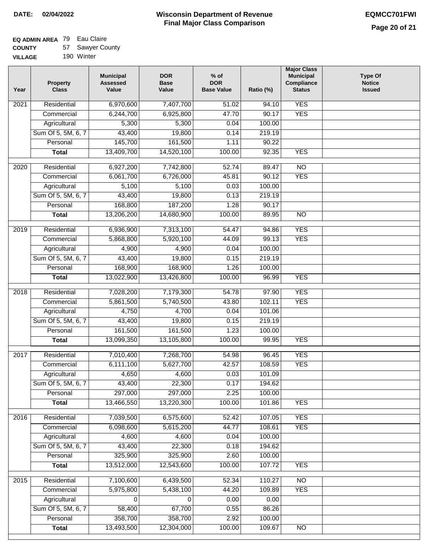#### **Wisconsin Department of Revenue Final Major Class Comparison DATE: 02/04/2022 EQMCC701FWI**

### **EQ ADMIN AREA** 79 Eau Claire **COUNTY**

| <b>COUNTY</b>  | 57 Sawyer County |
|----------------|------------------|
| <b>VILLAGE</b> | 190 Winter       |

| Year | <b>Property</b><br><b>Class</b> | <b>Municipal</b><br><b>Assessed</b><br>Value | <b>DOR</b><br><b>Base</b><br>Value | $%$ of<br><b>DOR</b><br><b>Base Value</b> | Ratio (%) | <b>Major Class</b><br><b>Municipal</b><br>Compliance<br><b>Status</b> | <b>Type Of</b><br><b>Notice</b><br><b>Issued</b> |
|------|---------------------------------|----------------------------------------------|------------------------------------|-------------------------------------------|-----------|-----------------------------------------------------------------------|--------------------------------------------------|
| 2021 | Residential                     | 6,970,600                                    | 7,407,700                          | 51.02                                     | 94.10     | <b>YES</b>                                                            |                                                  |
|      | Commercial                      | 6,244,700                                    | 6,925,800                          | 47.70                                     | 90.17     | <b>YES</b>                                                            |                                                  |
|      | Agricultural                    | 5,300                                        | 5,300                              | 0.04                                      | 100.00    |                                                                       |                                                  |
|      | Sum Of 5, 5M, 6, 7              | 43,400                                       | 19,800                             | 0.14                                      | 219.19    |                                                                       |                                                  |
|      | Personal                        | 145,700                                      | 161,500                            | 1.11                                      | 90.22     |                                                                       |                                                  |
|      | <b>Total</b>                    | 13,409,700                                   | 14,520,100                         | 100.00                                    | 92.35     | <b>YES</b>                                                            |                                                  |
| 2020 | Residential                     | 6,927,200                                    | 7,742,800                          | 52.74                                     | 89.47     | $\overline{10}$                                                       |                                                  |
|      | Commercial                      | 6,061,700                                    | 6,726,000                          | 45.81                                     | 90.12     | <b>YES</b>                                                            |                                                  |
|      | Agricultural                    | 5,100                                        | 5,100                              | 0.03                                      | 100.00    |                                                                       |                                                  |
|      | Sum Of 5, 5M, 6, 7              | 43,400                                       | 19,800                             | 0.13                                      | 219.19    |                                                                       |                                                  |
|      | Personal                        | 168,800                                      | 187,200                            | 1.28                                      | 90.17     |                                                                       |                                                  |
|      | <b>Total</b>                    | 13,206,200                                   | 14,680,900                         | 100.00                                    | 89.95     | <b>NO</b>                                                             |                                                  |
| 2019 | Residential                     | 6,936,900                                    | 7,313,100                          | 54.47                                     | 94.86     | <b>YES</b>                                                            |                                                  |
|      | Commercial                      | 5,868,800                                    | 5,920,100                          | 44.09                                     | 99.13     | <b>YES</b>                                                            |                                                  |
|      | Agricultural                    | 4,900                                        | 4,900                              | 0.04                                      | 100.00    |                                                                       |                                                  |
|      | Sum Of 5, 5M, 6, 7              | 43,400                                       | 19,800                             | 0.15                                      | 219.19    |                                                                       |                                                  |
|      | Personal                        | 168,900                                      | 168,900                            | 1.26                                      | 100.00    |                                                                       |                                                  |
|      | <b>Total</b>                    | 13,022,900                                   | 13,426,800                         | 100.00                                    | 96.99     | <b>YES</b>                                                            |                                                  |
|      |                                 |                                              |                                    |                                           |           |                                                                       |                                                  |
| 2018 | Residential                     | 7,028,200                                    | 7,179,300                          | 54.78                                     | 97.90     | <b>YES</b>                                                            |                                                  |
|      | Commercial                      | 5,861,500                                    | 5,740,500                          | 43.80                                     | 102.11    | <b>YES</b>                                                            |                                                  |
|      | Agricultural                    | 4,750                                        | 4,700                              | 0.04                                      | 101.06    |                                                                       |                                                  |
|      | Sum Of 5, 5M, 6, 7              | 43,400                                       | 19,800                             | 0.15                                      | 219.19    |                                                                       |                                                  |
|      | Personal                        | 161,500                                      | 161,500                            | 1.23                                      | 100.00    |                                                                       |                                                  |
|      | <b>Total</b>                    | 13,099,350                                   | 13,105,800                         | 100.00                                    | 99.95     | <b>YES</b>                                                            |                                                  |
| 2017 | Residential                     | 7,010,400                                    | 7,268,700                          | 54.98                                     | 96.45     | <b>YES</b>                                                            |                                                  |
|      | Commercial                      | 6,111,100                                    | 5,627,700                          | 42.57                                     | 108.59    | <b>YES</b>                                                            |                                                  |
|      | Agricultural                    | 4,650                                        | 4,600                              | 0.03                                      | 101.09    |                                                                       |                                                  |
|      | Sum Of 5, 5M, 6, 7              | 43,400                                       | 22,300                             | 0.17                                      | 194.62    |                                                                       |                                                  |
|      | Personal                        | 297,000                                      | 297,000                            | 2.25                                      | 100.00    |                                                                       |                                                  |
|      | <b>Total</b>                    | 13,466,550                                   | 13,220,300                         | 100.00                                    | 101.86    | <b>YES</b>                                                            |                                                  |
| 2016 | Residential                     | 7,039,500                                    | 6,575,600                          | 52.42                                     | 107.05    | <b>YES</b>                                                            |                                                  |
|      | Commercial                      | 6,098,600                                    | 5,615,200                          | 44.77                                     | 108.61    | <b>YES</b>                                                            |                                                  |
|      | Agricultural                    | 4,600                                        | 4,600                              | 0.04                                      | 100.00    |                                                                       |                                                  |
|      | Sum Of 5, 5M, 6, 7              | 43,400                                       | 22,300                             | 0.18                                      | 194.62    |                                                                       |                                                  |
|      | Personal                        | 325,900                                      | 325,900                            | 2.60                                      | 100.00    |                                                                       |                                                  |
|      | <b>Total</b>                    | 13,512,000                                   | 12,543,600                         | 100.00                                    | 107.72    | <b>YES</b>                                                            |                                                  |
| 2015 | Residential                     | 7,100,600                                    | 6,439,500                          | 52.34                                     | 110.27    | N <sub>O</sub>                                                        |                                                  |
|      | Commercial                      | 5,975,800                                    | 5,438,100                          | 44.20                                     | 109.89    | <b>YES</b>                                                            |                                                  |
|      | Agricultural                    | 0                                            | 0                                  | 0.00                                      | 0.00      |                                                                       |                                                  |
|      | Sum Of 5, 5M, 6, 7              | 58,400                                       | 67,700                             | 0.55                                      | 86.26     |                                                                       |                                                  |
|      | Personal                        | 358,700                                      | 358,700                            | 2.92                                      | 100.00    |                                                                       |                                                  |
|      | <b>Total</b>                    | 13,493,500                                   | 12,304,000                         | 100.00                                    | 109.67    | $\overline{NO}$                                                       |                                                  |
|      |                                 |                                              |                                    |                                           |           |                                                                       |                                                  |